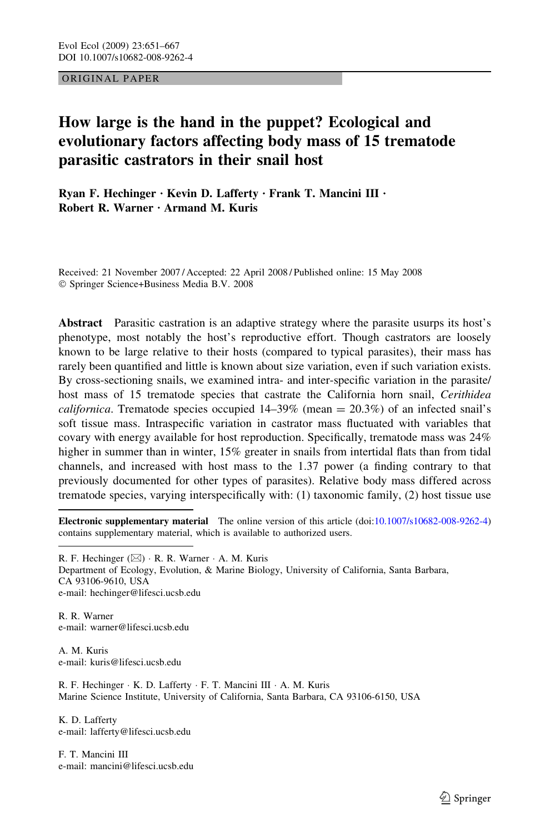ORIGINAL PAPER

# How large is the hand in the puppet? Ecological and evolutionary factors affecting body mass of 15 trematode parasitic castrators in their snail host

Ryan F. Hechinger · Kevin D. Lafferty · Frank T. Mancini III · Robert R. Warner  $\cdot$  Armand M. Kuris

Received: 21 November 2007 / Accepted: 22 April 2008 / Published online: 15 May 2008 Springer Science+Business Media B.V. 2008

Abstract Parasitic castration is an adaptive strategy where the parasite usurps its host's phenotype, most notably the host's reproductive effort. Though castrators are loosely known to be large relative to their hosts (compared to typical parasites), their mass has rarely been quantified and little is known about size variation, even if such variation exists. By cross-sectioning snails, we examined intra- and inter-specific variation in the parasite/ host mass of 15 trematode species that castrate the California horn snail, Cerithidea *californica*. Trematode species occupied  $14-39\%$  (mean = 20.3%) of an infected snail's soft tissue mass. Intraspecific variation in castrator mass fluctuated with variables that covary with energy available for host reproduction. Specifically, trematode mass was 24% higher in summer than in winter, 15% greater in snails from intertidal flats than from tidal channels, and increased with host mass to the 1.37 power (a finding contrary to that previously documented for other types of parasites). Relative body mass differed across trematode species, varying interspecifically with: (1) taxonomic family, (2) host tissue use

Electronic supplementary material The online version of this article (doi[:10.1007/s10682-008-9262-4\)](http://dx.doi.org/10.1007/s10682-008-9262-4) contains supplementary material, which is available to authorized users.

R. F. Hechinger  $(\boxtimes) \cdot$  R. R. Warner  $\cdot$  A. M. Kuris Department of Ecology, Evolution, & Marine Biology, University of California, Santa Barbara, CA 93106-9610, USA e-mail: hechinger@lifesci.ucsb.edu

R. R. Warner e-mail: warner@lifesci.ucsb.edu

A. M. Kuris e-mail: kuris@lifesci.ucsb.edu

R. F. Hechinger · K. D. Lafferty · F. T. Mancini III · A. M. Kuris Marine Science Institute, University of California, Santa Barbara, CA 93106-6150, USA

K. D. Lafferty e-mail: lafferty@lifesci.ucsb.edu

F. T. Mancini III e-mail: mancini@lifesci.ucsb.edu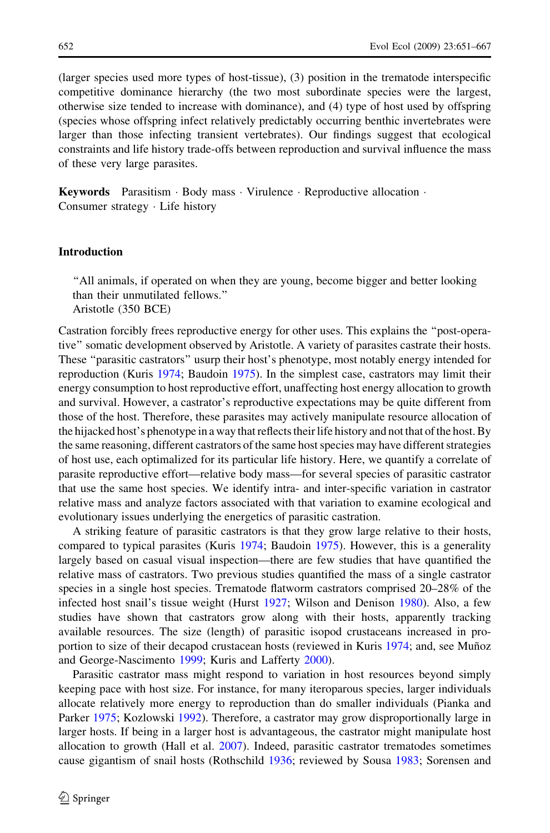(larger species used more types of host-tissue), (3) position in the trematode interspecific competitive dominance hierarchy (the two most subordinate species were the largest, otherwise size tended to increase with dominance), and (4) type of host used by offspring (species whose offspring infect relatively predictably occurring benthic invertebrates were larger than those infecting transient vertebrates). Our findings suggest that ecological constraints and life history trade-offs between reproduction and survival influence the mass of these very large parasites.

Keywords Parasitism · Body mass · Virulence · Reproductive allocation · Consumer strategy  $\cdot$  Life history

#### Introduction

''All animals, if operated on when they are young, become bigger and better looking than their unmutilated fellows.'' Aristotle (350 BCE)

Castration forcibly frees reproductive energy for other uses. This explains the ''post-operative'' somatic development observed by Aristotle. A variety of parasites castrate their hosts. These ''parasitic castrators'' usurp their host's phenotype, most notably energy intended for reproduction (Kuris [1974](#page-14-0); Baudoin [1975](#page-14-0)). In the simplest case, castrators may limit their energy consumption to host reproductive effort, unaffecting host energy allocation to growth and survival. However, a castrator's reproductive expectations may be quite different from those of the host. Therefore, these parasites may actively manipulate resource allocation of the hijacked host's phenotype in a way that reflects their life history and not that of the host. By the same reasoning, different castrators of the same host species may have different strategies of host use, each optimalized for its particular life history. Here, we quantify a correlate of parasite reproductive effort—relative body mass—for several species of parasitic castrator that use the same host species. We identify intra- and inter-specific variation in castrator relative mass and analyze factors associated with that variation to examine ecological and evolutionary issues underlying the energetics of parasitic castration.

A striking feature of parasitic castrators is that they grow large relative to their hosts, compared to typical parasites (Kuris [1974;](#page-14-0) Baudoin [1975\)](#page-14-0). However, this is a generality largely based on casual visual inspection—there are few studies that have quantified the relative mass of castrators. Two previous studies quantified the mass of a single castrator species in a single host species. Trematode flatworm castrators comprised 20–28% of the infected host snail's tissue weight (Hurst [1927;](#page-14-0) Wilson and Denison [1980\)](#page-16-0). Also, a few studies have shown that castrators grow along with their hosts, apparently tracking available resources. The size (length) of parasitic isopod crustaceans increased in pro-portion to size of their decapod crustacean hosts (reviewed in Kuris [1974](#page-14-0); and, see Muñoz and George-Nascimento [1999](#page-15-0); Kuris and Lafferty [2000](#page-14-0)).

Parasitic castrator mass might respond to variation in host resources beyond simply keeping pace with host size. For instance, for many iteroparous species, larger individuals allocate relatively more energy to reproduction than do smaller individuals (Pianka and Parker [1975](#page-15-0); Kozlowski [1992](#page-14-0)). Therefore, a castrator may grow disproportionally large in larger hosts. If being in a larger host is advantageous, the castrator might manipulate host allocation to growth (Hall et al. [2007\)](#page-14-0). Indeed, parasitic castrator trematodes sometimes cause gigantism of snail hosts (Rothschild [1936](#page-15-0); reviewed by Sousa [1983](#page-15-0); Sorensen and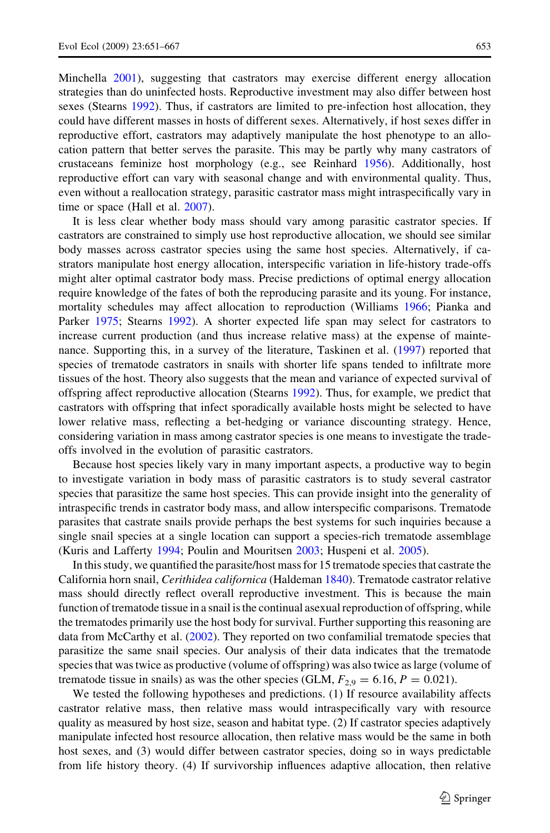Minchella [2001\)](#page-15-0), suggesting that castrators may exercise different energy allocation strategies than do uninfected hosts. Reproductive investment may also differ between host sexes (Stearns [1992\)](#page-15-0). Thus, if castrators are limited to pre-infection host allocation, they could have different masses in hosts of different sexes. Alternatively, if host sexes differ in reproductive effort, castrators may adaptively manipulate the host phenotype to an allocation pattern that better serves the parasite. This may be partly why many castrators of crustaceans feminize host morphology (e.g., see Reinhard [1956\)](#page-15-0). Additionally, host reproductive effort can vary with seasonal change and with environmental quality. Thus, even without a reallocation strategy, parasitic castrator mass might intraspecifically vary in time or space (Hall et al. [2007](#page-14-0)).

It is less clear whether body mass should vary among parasitic castrator species. If castrators are constrained to simply use host reproductive allocation, we should see similar body masses across castrator species using the same host species. Alternatively, if castrators manipulate host energy allocation, interspecific variation in life-history trade-offs might alter optimal castrator body mass. Precise predictions of optimal energy allocation require knowledge of the fates of both the reproducing parasite and its young. For instance, mortality schedules may affect allocation to reproduction (Williams [1966;](#page-15-0) Pianka and Parker [1975;](#page-15-0) Stearns [1992](#page-15-0)). A shorter expected life span may select for castrators to increase current production (and thus increase relative mass) at the expense of maintenance. Supporting this, in a survey of the literature, Taskinen et al. ([1997\)](#page-15-0) reported that species of trematode castrators in snails with shorter life spans tended to infiltrate more tissues of the host. Theory also suggests that the mean and variance of expected survival of offspring affect reproductive allocation (Stearns [1992](#page-15-0)). Thus, for example, we predict that castrators with offspring that infect sporadically available hosts might be selected to have lower relative mass, reflecting a bet-hedging or variance discounting strategy. Hence, considering variation in mass among castrator species is one means to investigate the tradeoffs involved in the evolution of parasitic castrators.

Because host species likely vary in many important aspects, a productive way to begin to investigate variation in body mass of parasitic castrators is to study several castrator species that parasitize the same host species. This can provide insight into the generality of intraspecific trends in castrator body mass, and allow interspecific comparisons. Trematode parasites that castrate snails provide perhaps the best systems for such inquiries because a single snail species at a single location can support a species-rich trematode assemblage (Kuris and Lafferty [1994](#page-14-0); Poulin and Mouritsen [2003;](#page-15-0) Huspeni et al. [2005\)](#page-14-0).

In this study, we quantified the parasite/host mass for 15 trematode species that castrate the California horn snail, Cerithidea californica (Haldeman [1840\)](#page-14-0). Trematode castrator relative mass should directly reflect overall reproductive investment. This is because the main function of trematode tissue in a snail is the continual asexual reproduction of offspring, while the trematodes primarily use the host body for survival. Further supporting this reasoning are data from McCarthy et al. [\(2002](#page-15-0)). They reported on two confamilial trematode species that parasitize the same snail species. Our analysis of their data indicates that the trematode species that was twice as productive (volume of offspring) was also twice as large (volume of trematode tissue in snails) as was the other species (GLM,  $F_{2.9} = 6.16, P = 0.021$ ).

We tested the following hypotheses and predictions. (1) If resource availability affects castrator relative mass, then relative mass would intraspecifically vary with resource quality as measured by host size, season and habitat type. (2) If castrator species adaptively manipulate infected host resource allocation, then relative mass would be the same in both host sexes, and (3) would differ between castrator species, doing so in ways predictable from life history theory. (4) If survivorship influences adaptive allocation, then relative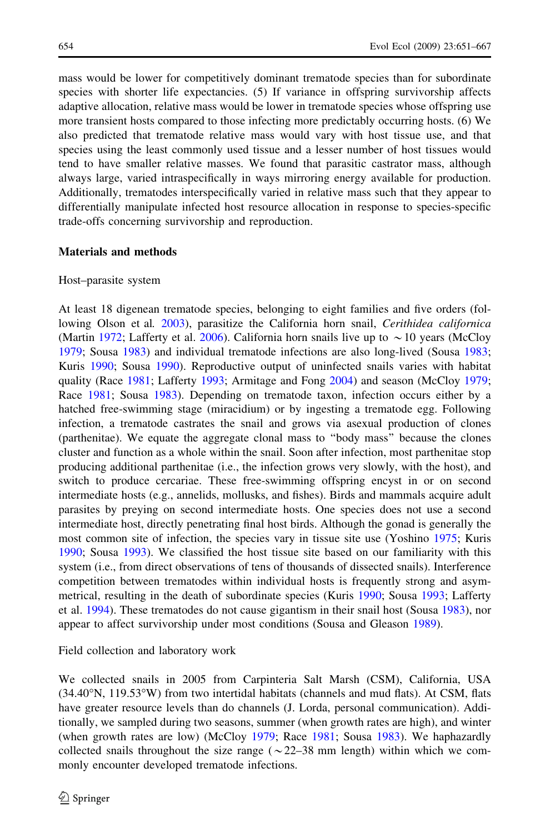mass would be lower for competitively dominant trematode species than for subordinate species with shorter life expectancies. (5) If variance in offspring survivorship affects adaptive allocation, relative mass would be lower in trematode species whose offspring use more transient hosts compared to those infecting more predictably occurring hosts. (6) We also predicted that trematode relative mass would vary with host tissue use, and that species using the least commonly used tissue and a lesser number of host tissues would tend to have smaller relative masses. We found that parasitic castrator mass, although always large, varied intraspecifically in ways mirroring energy available for production. Additionally, trematodes interspecifically varied in relative mass such that they appear to differentially manipulate infected host resource allocation in response to species-specific trade-offs concerning survivorship and reproduction.

#### Materials and methods

#### Host–parasite system

At least 18 digenean trematode species, belonging to eight families and five orders (fol-lowing Olson et al. [2003\)](#page-15-0), parasitize the California horn snail, Cerithidea californica (Martin [1972;](#page-15-0) Lafferty et al. [2006\)](#page-15-0). California horn snails live up to  $\sim$  10 years (McCloy [1979;](#page-15-0) Sousa [1983\)](#page-15-0) and individual trematode infections are also long-lived (Sousa [1983;](#page-15-0) Kuris [1990;](#page-14-0) Sousa [1990](#page-15-0)). Reproductive output of uninfected snails varies with habitat quality (Race [1981](#page-15-0); Lafferty [1993](#page-14-0); Armitage and Fong [2004](#page-14-0)) and season (McCloy [1979;](#page-15-0) Race [1981](#page-15-0); Sousa [1983\)](#page-15-0). Depending on trematode taxon, infection occurs either by a hatched free-swimming stage (miracidium) or by ingesting a trematode egg. Following infection, a trematode castrates the snail and grows via asexual production of clones (parthenitae). We equate the aggregate clonal mass to ''body mass'' because the clones cluster and function as a whole within the snail. Soon after infection, most parthenitae stop producing additional parthenitae (i.e., the infection grows very slowly, with the host), and switch to produce cercariae. These free-swimming offspring encyst in or on second intermediate hosts (e.g., annelids, mollusks, and fishes). Birds and mammals acquire adult parasites by preying on second intermediate hosts. One species does not use a second intermediate host, directly penetrating final host birds. Although the gonad is generally the most common site of infection, the species vary in tissue site use (Yoshino [1975](#page-16-0); Kuris [1990;](#page-14-0) Sousa [1993](#page-15-0)). We classified the host tissue site based on our familiarity with this system (i.e., from direct observations of tens of thousands of dissected snails). Interference competition between trematodes within individual hosts is frequently strong and asymmetrical, resulting in the death of subordinate species (Kuris [1990;](#page-14-0) Sousa [1993;](#page-15-0) Lafferty et al. [1994\)](#page-14-0). These trematodes do not cause gigantism in their snail host (Sousa [1983\)](#page-15-0), nor appear to affect survivorship under most conditions (Sousa and Gleason [1989\)](#page-15-0).

Field collection and laboratory work

We collected snails in 2005 from Carpinteria Salt Marsh (CSM), California, USA (34.40°N, 119.53°W) from two intertidal habitats (channels and mud flats). At CSM, flats have greater resource levels than do channels (J. Lorda, personal communication). Additionally, we sampled during two seasons, summer (when growth rates are high), and winter (when growth rates are low) (McCloy [1979;](#page-15-0) Race [1981](#page-15-0); Sousa [1983\)](#page-15-0). We haphazardly collected snails throughout the size range ( $\sim$ 22–38 mm length) within which we commonly encounter developed trematode infections.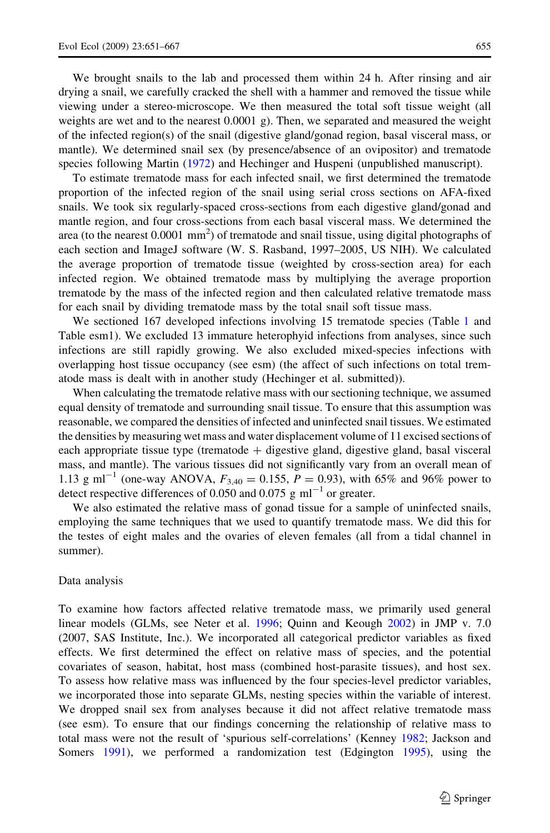We brought snails to the lab and processed them within 24 h. After rinsing and air drying a snail, we carefully cracked the shell with a hammer and removed the tissue while viewing under a stereo-microscope. We then measured the total soft tissue weight (all

weights are wet and to the nearest 0.0001 g). Then, we separated and measured the weight of the infected region(s) of the snail (digestive gland/gonad region, basal visceral mass, or mantle). We determined snail sex (by presence/absence of an ovipositor) and trematode species following Martin [\(1972](#page-15-0)) and Hechinger and Huspeni (unpublished manuscript).

To estimate trematode mass for each infected snail, we first determined the trematode proportion of the infected region of the snail using serial cross sections on AFA-fixed snails. We took six regularly-spaced cross-sections from each digestive gland/gonad and mantle region, and four cross-sections from each basal visceral mass. We determined the area (to the nearest  $0.0001 \text{ mm}^2$ ) of trematode and snail tissue, using digital photographs of each section and ImageJ software (W. S. Rasband, 1997–2005, US NIH). We calculated the average proportion of trematode tissue (weighted by cross-section area) for each infected region. We obtained trematode mass by multiplying the average proportion trematode by the mass of the infected region and then calculated relative trematode mass for each snail by dividing trematode mass by the total snail soft tissue mass.

We sectioned [1](#page-5-0)67 developed infections involving 15 trematode species (Table 1 and Table esm1). We excluded 13 immature heterophyid infections from analyses, since such infections are still rapidly growing. We also excluded mixed-species infections with overlapping host tissue occupancy (see esm) (the affect of such infections on total trematode mass is dealt with in another study (Hechinger et al. submitted)).

When calculating the trematode relative mass with our sectioning technique, we assumed equal density of trematode and surrounding snail tissue. To ensure that this assumption was reasonable, we compared the densities of infected and uninfected snail tissues. We estimated the densities by measuring wet mass and water displacement volume of 11 excised sections of each appropriate tissue type (trematode  $+$  digestive gland, digestive gland, basal visceral mass, and mantle). The various tissues did not significantly vary from an overall mean of 1.13 g ml<sup>-1</sup> (one-way ANOVA,  $F_{3,40} = 0.155$ ,  $P = 0.93$ ), with 65% and 96% power to detect respective differences of 0.050 and 0.075 g  $ml^{-1}$  or greater.

We also estimated the relative mass of gonad tissue for a sample of uninfected snails, employing the same techniques that we used to quantify trematode mass. We did this for the testes of eight males and the ovaries of eleven females (all from a tidal channel in summer).

#### Data analysis

To examine how factors affected relative trematode mass, we primarily used general linear models (GLMs, see Neter et al. [1996;](#page-15-0) Quinn and Keough [2002\)](#page-15-0) in JMP v. 7.0 (2007, SAS Institute, Inc.). We incorporated all categorical predictor variables as fixed effects. We first determined the effect on relative mass of species, and the potential covariates of season, habitat, host mass (combined host-parasite tissues), and host sex. To assess how relative mass was influenced by the four species-level predictor variables, we incorporated those into separate GLMs, nesting species within the variable of interest. We dropped snail sex from analyses because it did not affect relative trematode mass (see esm). To ensure that our findings concerning the relationship of relative mass to total mass were not the result of 'spurious self-correlations' (Kenney [1982](#page-14-0); Jackson and Somers [1991](#page-14-0)), we performed a randomization test (Edgington [1995\)](#page-14-0), using the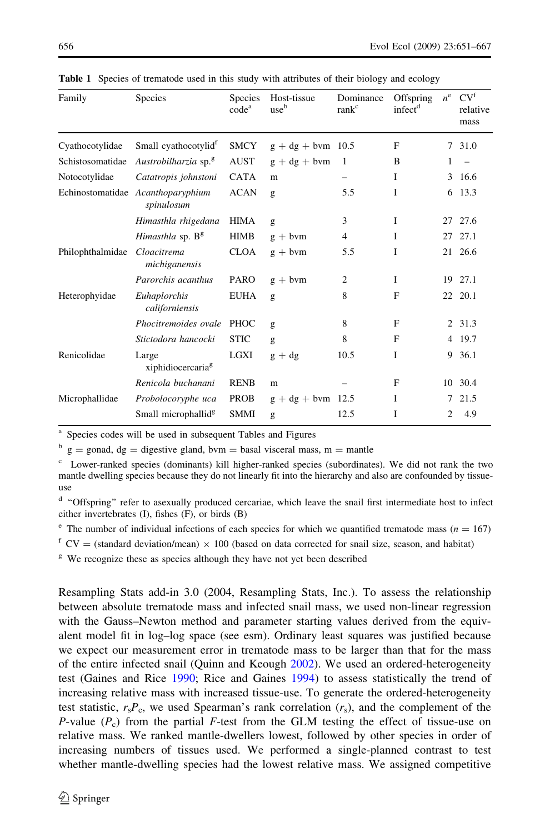| Family           | Species                                         | Species<br>code <sup>a</sup> | Host-tissue<br>use <sup>b</sup> | Dominance<br>rank <sup>c</sup> | Offspring<br>infect <sup>d</sup> | $n^e$ | CV <sup>f</sup><br>relative<br>mass |
|------------------|-------------------------------------------------|------------------------------|---------------------------------|--------------------------------|----------------------------------|-------|-------------------------------------|
| Cyathocotylidae  | Small cyathocotylid <sup>t</sup>                | <b>SMCY</b>                  | $g + dg + bvm$ 10.5             |                                | F                                | 7     | 31.0                                |
| Schistosomatidae | Austrobilharzia sp. <sup>g</sup>                | <b>AUST</b>                  | $g + dg + bvm$                  | 1                              | B                                | 1     |                                     |
| Notocotylidae    | Catatropis johnstoni                            | <b>CATA</b>                  | m                               | $\qquad \qquad -$              | I                                | 3     | 16.6                                |
|                  | Echinostomatidae Acanthoparyphium<br>spinulosum | <b>ACAN</b>                  | g                               | 5.5                            | I                                | 6     | 13.3                                |
|                  | Himasthla rhigedana                             | <b>HIMA</b>                  | g                               | 3                              | I                                | 27    | 27.6                                |
|                  | Himasthla sp. $B^g$                             | <b>HIMB</b>                  | $g + bvm$                       | 4                              | I                                | 27    | 27.1                                |
| Philophthalmidae | Cloacitrema<br>michiganensis                    | <b>CLOA</b>                  | $g + bvm$                       | 5.5                            | I                                |       | 21 26.6                             |
|                  | Parorchis acanthus                              | <b>PARO</b>                  | $g + bvm$                       | $\overline{2}$                 | I                                |       | 19 27.1                             |
| Heterophyidae    | Euhaplorchis<br>californiensis                  | <b>EUHA</b>                  | g                               | 8                              | F                                |       | 22 20.1                             |
|                  | Phocitremoides ovale                            | PHOC                         | g                               | 8                              | F                                |       | 2 31.3                              |
|                  | Stictodora hancocki                             | <b>STIC</b>                  | g                               | 8                              | F                                |       | 4 19.7                              |
| Renicolidae      | Large<br>xiphidiocercaria <sup>g</sup>          | LGXI                         | $g + dg$                        | 10.5                           | I                                | 9     | 36.1                                |
|                  | Renicola buchanani                              | <b>RENB</b>                  | m                               |                                | F                                |       | 10 30.4                             |
| Microphallidae   | Probolocoryphe uca                              | <b>PROB</b>                  | $g + dg + bvm$ 12.5             |                                | I                                | 7     | 21.5                                |
|                  | Small microphallid <sup>g</sup>                 | <b>SMMI</b>                  | g                               | 12.5                           | I                                | 2     | 4.9                                 |

<span id="page-5-0"></span>Table 1 Species of trematode used in this study with attributes of their biology and ecology

Species codes will be used in subsequent Tables and Figures

 $g =$  gonad,  $dg =$  digestive gland, bym = basal visceral mass, m = mantle

Lower-ranked species (dominants) kill higher-ranked species (subordinates). We did not rank the two mantle dwelling species because they do not linearly fit into the hierarchy and also are confounded by tissueuse

<sup>d</sup> "Offspring" refer to asexually produced cercariae, which leave the snail first intermediate host to infect either invertebrates (I), fishes (F), or birds (B)

<sup>e</sup> The number of individual infections of each species for which we quantified trematode mass ( $n = 167$ )

 $f$  CV = (standard deviation/mean)  $\times$  100 (based on data corrected for snail size, season, and habitat)

<sup>g</sup> We recognize these as species although they have not yet been described

Resampling Stats add-in 3.0 (2004, Resampling Stats, Inc.). To assess the relationship between absolute trematode mass and infected snail mass, we used non-linear regression with the Gauss–Newton method and parameter starting values derived from the equivalent model fit in log–log space (see esm). Ordinary least squares was justified because we expect our measurement error in trematode mass to be larger than that for the mass of the entire infected snail (Quinn and Keough [2002](#page-15-0)). We used an ordered-heterogeneity test (Gaines and Rice [1990](#page-14-0); Rice and Gaines [1994\)](#page-15-0) to assess statistically the trend of increasing relative mass with increased tissue-use. To generate the ordered-heterogeneity test statistic,  $r_sP_c$ , we used Spearman's rank correlation  $(r_s)$ , and the complement of the P-value  $(P_c)$  from the partial F-test from the GLM testing the effect of tissue-use on relative mass. We ranked mantle-dwellers lowest, followed by other species in order of increasing numbers of tissues used. We performed a single-planned contrast to test whether mantle-dwelling species had the lowest relative mass. We assigned competitive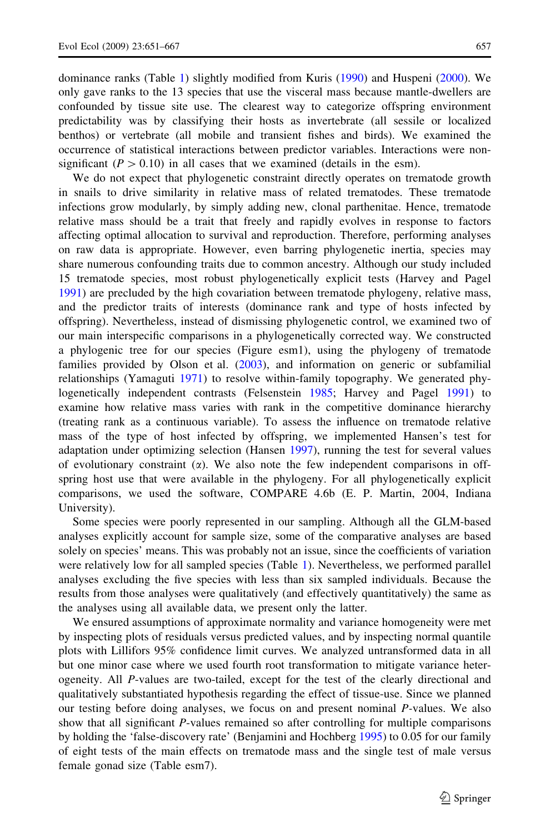dominance ranks (Table [1\)](#page-5-0) slightly modified from Kuris ([1990\)](#page-14-0) and Huspeni ([2000\)](#page-14-0). We only gave ranks to the 13 species that use the visceral mass because mantle-dwellers are confounded by tissue site use. The clearest way to categorize offspring environment predictability was by classifying their hosts as invertebrate (all sessile or localized benthos) or vertebrate (all mobile and transient fishes and birds). We examined the occurrence of statistical interactions between predictor variables. Interactions were nonsignificant ( $P > 0.10$ ) in all cases that we examined (details in the esm).

We do not expect that phylogenetic constraint directly operates on trematode growth in snails to drive similarity in relative mass of related trematodes. These trematode infections grow modularly, by simply adding new, clonal parthenitae. Hence, trematode relative mass should be a trait that freely and rapidly evolves in response to factors affecting optimal allocation to survival and reproduction. Therefore, performing analyses on raw data is appropriate. However, even barring phylogenetic inertia, species may share numerous confounding traits due to common ancestry. Although our study included 15 trematode species, most robust phylogenetically explicit tests (Harvey and Pagel [1991\)](#page-14-0) are precluded by the high covariation between trematode phylogeny, relative mass, and the predictor traits of interests (dominance rank and type of hosts infected by offspring). Nevertheless, instead of dismissing phylogenetic control, we examined two of our main interspecific comparisons in a phylogenetically corrected way. We constructed a phylogenic tree for our species (Figure esm1), using the phylogeny of trematode families provided by Olson et al. [\(2003\)](#page-15-0), and information on generic or subfamilial relationships (Yamaguti [1971](#page-16-0)) to resolve within-family topography. We generated phylogenetically independent contrasts (Felsenstein [1985](#page-14-0); Harvey and Pagel [1991\)](#page-14-0) to examine how relative mass varies with rank in the competitive dominance hierarchy (treating rank as a continuous variable). To assess the influence on trematode relative mass of the type of host infected by offspring, we implemented Hansen's test for adaptation under optimizing selection (Hansen [1997](#page-14-0)), running the test for several values of evolutionary constraint  $(x)$ . We also note the few independent comparisons in offspring host use that were available in the phylogeny. For all phylogenetically explicit comparisons, we used the software, COMPARE 4.6b (E. P. Martin, 2004, Indiana University).

Some species were poorly represented in our sampling. Although all the GLM-based analyses explicitly account for sample size, some of the comparative analyses are based solely on species' means. This was probably not an issue, since the coefficients of variation were relatively low for all sampled species (Table [1](#page-5-0)). Nevertheless, we performed parallel analyses excluding the five species with less than six sampled individuals. Because the results from those analyses were qualitatively (and effectively quantitatively) the same as the analyses using all available data, we present only the latter.

We ensured assumptions of approximate normality and variance homogeneity were met by inspecting plots of residuals versus predicted values, and by inspecting normal quantile plots with Lillifors 95% confidence limit curves. We analyzed untransformed data in all but one minor case where we used fourth root transformation to mitigate variance heterogeneity. All P-values are two-tailed, except for the test of the clearly directional and qualitatively substantiated hypothesis regarding the effect of tissue-use. Since we planned our testing before doing analyses, we focus on and present nominal P-values. We also show that all significant P-values remained so after controlling for multiple comparisons by holding the 'false-discovery rate' (Benjamini and Hochberg [1995\)](#page-14-0) to 0.05 for our family of eight tests of the main effects on trematode mass and the single test of male versus female gonad size (Table esm7).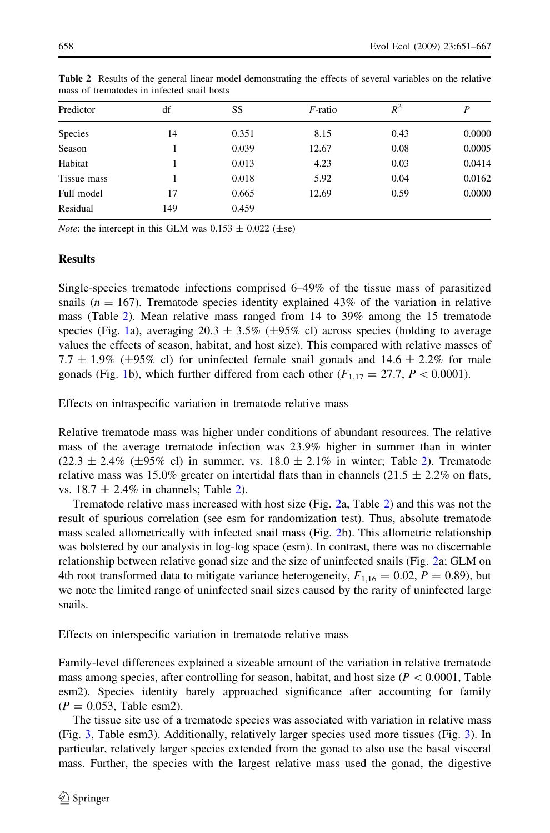| Predictor      | df  | SS    | $F$ -ratio | $R^2$ | P      |
|----------------|-----|-------|------------|-------|--------|
| <b>Species</b> | 14  | 0.351 | 8.15       | 0.43  | 0.0000 |
| Season         |     | 0.039 | 12.67      | 0.08  | 0.0005 |
| Habitat        |     | 0.013 | 4.23       | 0.03  | 0.0414 |
| Tissue mass    |     | 0.018 | 5.92       | 0.04  | 0.0162 |
| Full model     | 17  | 0.665 | 12.69      | 0.59  | 0.0000 |
| Residual       | 149 | 0.459 |            |       |        |

Table 2 Results of the general linear model demonstrating the effects of several variables on the relative mass of trematodes in infected snail hosts

*Note*: the intercept in this GLM was  $0.153 \pm 0.022$  ( $\pm$ se)

### **Results**

Single-species trematode infections comprised 6–49% of the tissue mass of parasitized snails ( $n = 167$ ). Trematode species identity explained 43% of the variation in relative mass (Table 2). Mean relative mass ranged from 14 to 39% among the 15 trematode species (Fig. [1a](#page-8-0)), averaging  $20.3 \pm 3.5\%$  ( $\pm 95\%$  cl) across species (holding to average values the effects of season, habitat, and host size). This compared with relative masses of 7.7  $\pm$  1.9% ( $\pm$ 95% cl) for uninfected female snail gonads and 14.6  $\pm$  2.2% for male gonads (Fig. [1b](#page-8-0)), which further differed from each other  $(F_{1,17} = 27.7, P < 0.0001)$ .

Effects on intraspecific variation in trematode relative mass

Relative trematode mass was higher under conditions of abundant resources. The relative mass of the average trematode infection was 23.9% higher in summer than in winter  $(22.3 \pm 2.4\% \ (\pm 95\% \ \text{cl})$  in summer, vs.  $18.0 \pm 2.1\%$  in winter; Table 2). Trematode relative mass was 15.0% greater on intertidal flats than in channels (21.5  $\pm$  2.2% on flats, vs.  $18.7 \pm 2.4\%$  in channels; Table 2).

Trematode relative mass increased with host size (Fig. [2a](#page-8-0), Table 2) and this was not the result of spurious correlation (see esm for randomization test). Thus, absolute trematode mass scaled allometrically with infected snail mass (Fig. [2](#page-8-0)b). This allometric relationship was bolstered by our analysis in log-log space (esm). In contrast, there was no discernable relationship between relative gonad size and the size of uninfected snails (Fig. [2a](#page-8-0); GLM on 4th root transformed data to mitigate variance heterogeneity,  $F_{1,16} = 0.02$ ,  $P = 0.89$ ), but we note the limited range of uninfected snail sizes caused by the rarity of uninfected large snails.

Effects on interspecific variation in trematode relative mass

Family-level differences explained a sizeable amount of the variation in relative trematode mass among species, after controlling for season, habitat, and host size ( $P < 0.0001$ , Table esm2). Species identity barely approached significance after accounting for family  $(P = 0.053$ . Table esm2).

The tissue site use of a trematode species was associated with variation in relative mass (Fig. [3,](#page-9-0) Table esm3). Additionally, relatively larger species used more tissues (Fig. [3](#page-9-0)). In particular, relatively larger species extended from the gonad to also use the basal visceral mass. Further, the species with the largest relative mass used the gonad, the digestive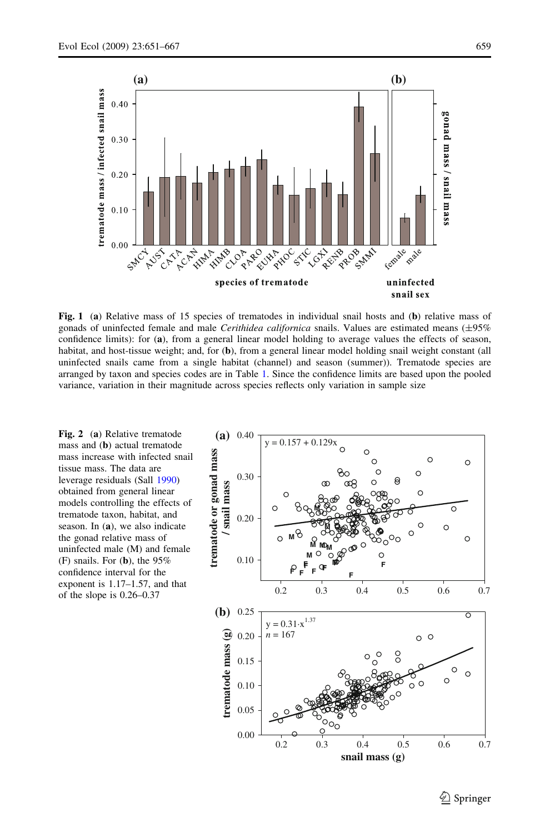<span id="page-8-0"></span>

Fig. 1 (a) Relative mass of 15 species of trematodes in individual snail hosts and (b) relative mass of gonads of uninfected female and male *Cerithidea californica* snails. Values are estimated means  $(\pm 95\%$ confidence limits): for (a), from a general linear model holding to average values the effects of season, habitat, and host-tissue weight; and, for (b), from a general linear model holding snail weight constant (all uninfected snails came from a single habitat (channel) and season (summer)). Trematode species are arranged by taxon and species codes are in Table [1](#page-5-0). Since the confidence limits are based upon the pooled variance, variation in their magnitude across species reflects only variation in sample size

Fig. 2 (a) Relative trematode mass and (b) actual trematode mass increase with infected snail tissue mass. The data are leverage residuals (Sall [1990](#page-15-0)) obtained from general linear models controlling the effects of trematode taxon, habitat, and season. In (a), we also indicate the gonad relative mass of uninfected male (M) and female (F) snails. For  $(b)$ , the 95% confidence interval for the exponent is 1.17–1.57, and that of the slope is 0.26–0.37



 $\textcircled{2}$  Springer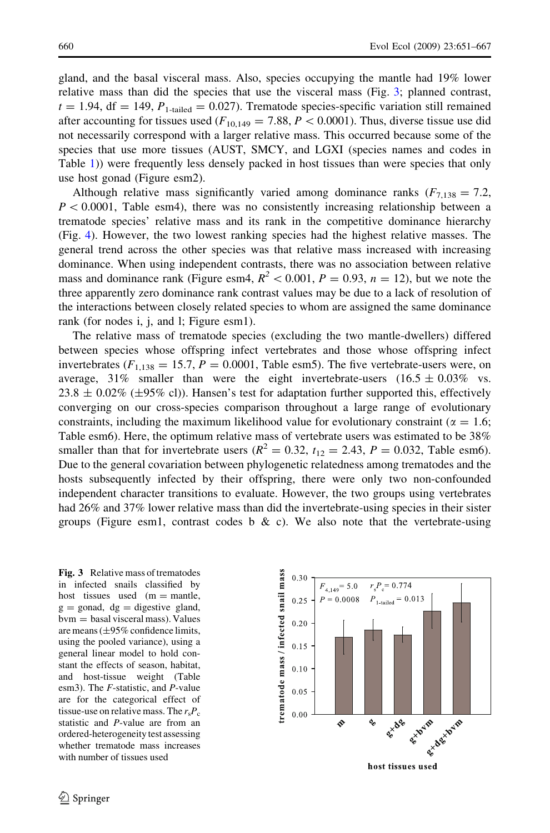<span id="page-9-0"></span>gland, and the basal visceral mass. Also, species occupying the mantle had 19% lower relative mass than did the species that use the visceral mass (Fig. 3; planned contrast,  $t = 1.94$ , df = 149,  $P_{1\text{-tailed}} = 0.027$ ). Trematode species-specific variation still remained after accounting for tissues used ( $F_{10,149} = 7.88$ ,  $P \lt 0.0001$ ). Thus, diverse tissue use did not necessarily correspond with a larger relative mass. This occurred because some of the species that use more tissues (AUST, SMCY, and LGXI (species names and codes in Table [1](#page-5-0))) were frequently less densely packed in host tissues than were species that only use host gonad (Figure esm2).

Although relative mass significantly varied among dominance ranks ( $F_{7,138} = 7.2$ ,  $P<0.0001$ , Table esm4), there was no consistently increasing relationship between a trematode species' relative mass and its rank in the competitive dominance hierarchy (Fig. [4\)](#page-10-0). However, the two lowest ranking species had the highest relative masses. The general trend across the other species was that relative mass increased with increasing dominance. When using independent contrasts, there was no association between relative mass and dominance rank (Figure esm4,  $R^2$  < 0.001, P = 0.93, n = 12), but we note the three apparently zero dominance rank contrast values may be due to a lack of resolution of the interactions between closely related species to whom are assigned the same dominance rank (for nodes i, j, and l; Figure esm1).

The relative mass of trematode species (excluding the two mantle-dwellers) differed between species whose offspring infect vertebrates and those whose offspring infect invertebrates ( $F_{1,138} = 15.7$ ,  $P = 0.0001$ , Table esm5). The five vertebrate-users were, on average, 31% smaller than were the eight invertebrate-users  $(16.5 \pm 0.03\%$  vs.  $23.8 \pm 0.02\%$  ( $\pm 95\%$  cl)). Hansen's test for adaptation further supported this, effectively converging on our cross-species comparison throughout a large range of evolutionary constraints, including the maximum likelihood value for evolutionary constraint ( $\alpha = 1.6$ ; Table esm6). Here, the optimum relative mass of vertebrate users was estimated to be 38% smaller than that for invertebrate users ( $R^2 = 0.32$ ,  $t_{12} = 2.43$ ,  $P = 0.032$ , Table esm6). Due to the general covariation between phylogenetic relatedness among trematodes and the hosts subsequently infected by their offspring, there were only two non-confounded independent character transitions to evaluate. However, the two groups using vertebrates had 26% and 37% lower relative mass than did the invertebrate-using species in their sister groups (Figure esm1, contrast codes b  $\&$  c). We also note that the vertebrate-using

Fig. 3 Relative mass of trematodes in infected snails classified by host tissues used  $(m = 1)$  $g =$  gonad,  $dg =$  digestive gland, bvm = basal visceral mass). Values are means (±95% confidence limits, using the pooled variance), using a general linear model to hold constant the effects of season, habitat, and host-tissue weight (Table esm3). The F-statistic, and P-value are for the categorical effect of tissue-use on relative mass. The  $r_sP_c$ statistic and P-value are from an ordered-heterogeneity test assessing whether trematode mass increases with number of tissues used

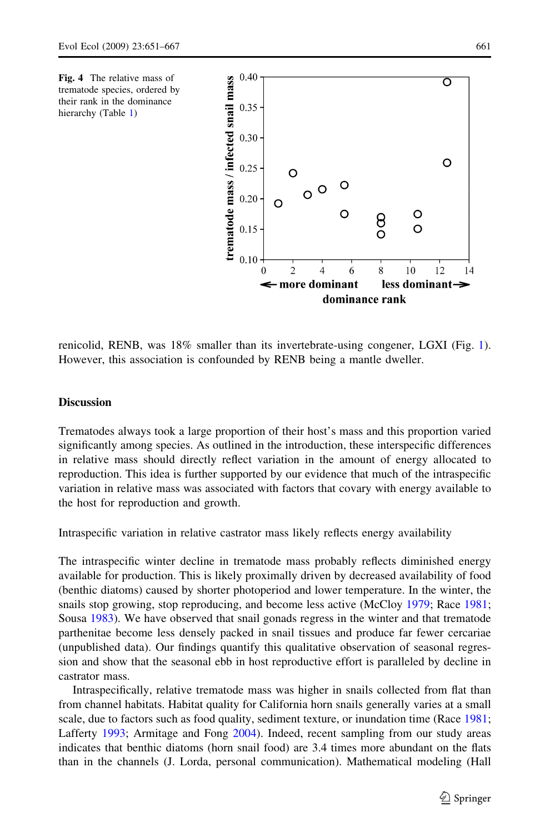

<span id="page-10-0"></span>Fig. 4 The relative mass of trematode species, ordered by their rank in the dominance hierarchy (Table [1](#page-5-0))

renicolid, RENB, was 18% smaller than its invertebrate-using congener, LGXI (Fig. [1](#page-8-0)). However, this association is confounded by RENB being a mantle dweller.

#### **Discussion**

Trematodes always took a large proportion of their host's mass and this proportion varied significantly among species. As outlined in the introduction, these interspecific differences in relative mass should directly reflect variation in the amount of energy allocated to reproduction. This idea is further supported by our evidence that much of the intraspecific variation in relative mass was associated with factors that covary with energy available to the host for reproduction and growth.

Intraspecific variation in relative castrator mass likely reflects energy availability

The intraspecific winter decline in trematode mass probably reflects diminished energy available for production. This is likely proximally driven by decreased availability of food (benthic diatoms) caused by shorter photoperiod and lower temperature. In the winter, the snails stop growing, stop reproducing, and become less active (McCloy [1979;](#page-15-0) Race [1981;](#page-15-0) Sousa [1983\)](#page-15-0). We have observed that snail gonads regress in the winter and that trematode parthenitae become less densely packed in snail tissues and produce far fewer cercariae (unpublished data). Our findings quantify this qualitative observation of seasonal regression and show that the seasonal ebb in host reproductive effort is paralleled by decline in castrator mass.

Intraspecifically, relative trematode mass was higher in snails collected from flat than from channel habitats. Habitat quality for California horn snails generally varies at a small scale, due to factors such as food quality, sediment texture, or inundation time (Race [1981;](#page-15-0) Lafferty [1993](#page-14-0); Armitage and Fong [2004](#page-14-0)). Indeed, recent sampling from our study areas indicates that benthic diatoms (horn snail food) are 3.4 times more abundant on the flats than in the channels (J. Lorda, personal communication). Mathematical modeling (Hall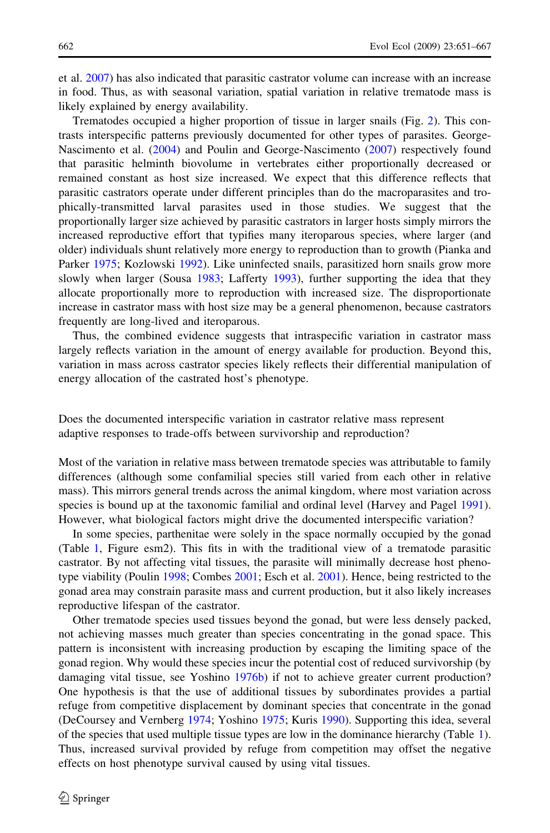et al. [2007](#page-14-0)) has also indicated that parasitic castrator volume can increase with an increase in food. Thus, as with seasonal variation, spatial variation in relative trematode mass is likely explained by energy availability.

Trematodes occupied a higher proportion of tissue in larger snails (Fig. [2\)](#page-8-0). This contrasts interspecific patterns previously documented for other types of parasites. George-Nascimento et al. [\(2004](#page-14-0)) and Poulin and George-Nascimento ([2007\)](#page-15-0) respectively found that parasitic helminth biovolume in vertebrates either proportionally decreased or remained constant as host size increased. We expect that this difference reflects that parasitic castrators operate under different principles than do the macroparasites and trophically-transmitted larval parasites used in those studies. We suggest that the proportionally larger size achieved by parasitic castrators in larger hosts simply mirrors the increased reproductive effort that typifies many iteroparous species, where larger (and older) individuals shunt relatively more energy to reproduction than to growth (Pianka and Parker [1975](#page-15-0); Kozlowski [1992](#page-14-0)). Like uninfected snails, parasitized horn snails grow more slowly when larger (Sousa [1983](#page-15-0); Lafferty [1993](#page-14-0)), further supporting the idea that they allocate proportionally more to reproduction with increased size. The disproportionate increase in castrator mass with host size may be a general phenomenon, because castrators frequently are long-lived and iteroparous.

Thus, the combined evidence suggests that intraspecific variation in castrator mass largely reflects variation in the amount of energy available for production. Beyond this, variation in mass across castrator species likely reflects their differential manipulation of energy allocation of the castrated host's phenotype.

Does the documented interspecific variation in castrator relative mass represent adaptive responses to trade-offs between survivorship and reproduction?

Most of the variation in relative mass between trematode species was attributable to family differences (although some confamilial species still varied from each other in relative mass). This mirrors general trends across the animal kingdom, where most variation across species is bound up at the taxonomic familial and ordinal level (Harvey and Pagel [1991](#page-14-0)). However, what biological factors might drive the documented interspecific variation?

In some species, parthenitae were solely in the space normally occupied by the gonad (Table [1](#page-5-0), Figure esm2). This fits in with the traditional view of a trematode parasitic castrator. By not affecting vital tissues, the parasite will minimally decrease host pheno-type viability (Poulin [1998;](#page-15-0) Combes [2001](#page-14-0); Esch et al. [2001\)](#page-14-0). Hence, being restricted to the gonad area may constrain parasite mass and current production, but it also likely increases reproductive lifespan of the castrator.

Other trematode species used tissues beyond the gonad, but were less densely packed, not achieving masses much greater than species concentrating in the gonad space. This pattern is inconsistent with increasing production by escaping the limiting space of the gonad region. Why would these species incur the potential cost of reduced survivorship (by damaging vital tissue, see Yoshino [1976b](#page-16-0)) if not to achieve greater current production? One hypothesis is that the use of additional tissues by subordinates provides a partial refuge from competitive displacement by dominant species that concentrate in the gonad (DeCoursey and Vernberg [1974;](#page-14-0) Yoshino [1975;](#page-16-0) Kuris [1990\)](#page-14-0). Supporting this idea, several of the species that used multiple tissue types are low in the dominance hierarchy (Table [1](#page-5-0)). Thus, increased survival provided by refuge from competition may offset the negative effects on host phenotype survival caused by using vital tissues.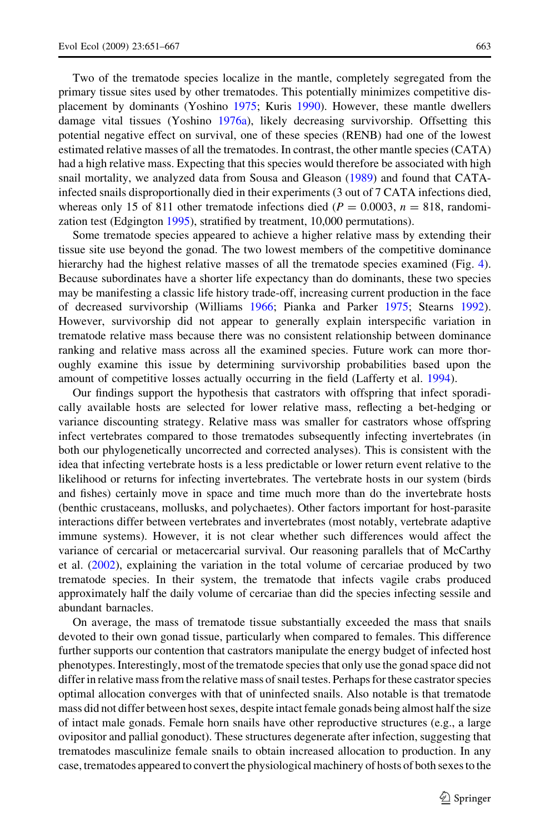Two of the trematode species localize in the mantle, completely segregated from the primary tissue sites used by other trematodes. This potentially minimizes competitive displacement by dominants (Yoshino [1975](#page-16-0); Kuris [1990](#page-14-0)). However, these mantle dwellers damage vital tissues (Yoshino  $1976a$ ), likely decreasing survivorship. Offsetting this potential negative effect on survival, one of these species (RENB) had one of the lowest estimated relative masses of all the trematodes. In contrast, the other mantle species (CATA) had a high relative mass. Expecting that this species would therefore be associated with high snail mortality, we analyzed data from Sousa and Gleason [\(1989](#page-15-0)) and found that CATAinfected snails disproportionally died in their experiments (3 out of 7 CATA infections died, whereas only 15 of 811 other trematode infections died ( $P = 0.0003$ ,  $n = 818$ , randomi-zation test (Edgington [1995\)](#page-14-0), stratified by treatment, 10,000 permutations).

Some trematode species appeared to achieve a higher relative mass by extending their tissue site use beyond the gonad. The two lowest members of the competitive dominance hierarchy had the highest relative masses of all the trematode species examined (Fig. [4](#page-10-0)). Because subordinates have a shorter life expectancy than do dominants, these two species may be manifesting a classic life history trade-off, increasing current production in the face of decreased survivorship (Williams [1966;](#page-15-0) Pianka and Parker [1975;](#page-15-0) Stearns [1992](#page-15-0)). However, survivorship did not appear to generally explain interspecific variation in trematode relative mass because there was no consistent relationship between dominance ranking and relative mass across all the examined species. Future work can more thoroughly examine this issue by determining survivorship probabilities based upon the amount of competitive losses actually occurring in the field (Lafferty et al. [1994](#page-14-0)).

Our findings support the hypothesis that castrators with offspring that infect sporadically available hosts are selected for lower relative mass, reflecting a bet-hedging or variance discounting strategy. Relative mass was smaller for castrators whose offspring infect vertebrates compared to those trematodes subsequently infecting invertebrates (in both our phylogenetically uncorrected and corrected analyses). This is consistent with the idea that infecting vertebrate hosts is a less predictable or lower return event relative to the likelihood or returns for infecting invertebrates. The vertebrate hosts in our system (birds and fishes) certainly move in space and time much more than do the invertebrate hosts (benthic crustaceans, mollusks, and polychaetes). Other factors important for host-parasite interactions differ between vertebrates and invertebrates (most notably, vertebrate adaptive immune systems). However, it is not clear whether such differences would affect the variance of cercarial or metacercarial survival. Our reasoning parallels that of McCarthy et al. [\(2002](#page-15-0)), explaining the variation in the total volume of cercariae produced by two trematode species. In their system, the trematode that infects vagile crabs produced approximately half the daily volume of cercariae than did the species infecting sessile and abundant barnacles.

On average, the mass of trematode tissue substantially exceeded the mass that snails devoted to their own gonad tissue, particularly when compared to females. This difference further supports our contention that castrators manipulate the energy budget of infected host phenotypes. Interestingly, most of the trematode species that only use the gonad space did not differ in relative mass from the relative mass of snail testes. Perhaps for these castrator species optimal allocation converges with that of uninfected snails. Also notable is that trematode mass did not differ between host sexes, despite intact female gonads being almost half the size of intact male gonads. Female horn snails have other reproductive structures (e.g., a large ovipositor and pallial gonoduct). These structures degenerate after infection, suggesting that trematodes masculinize female snails to obtain increased allocation to production. In any case, trematodes appeared to convert the physiological machinery of hosts of both sexes to the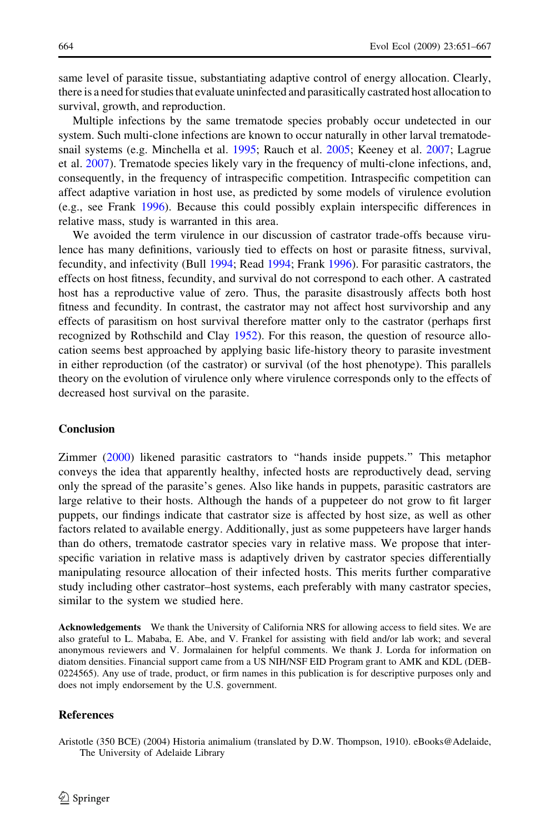same level of parasite tissue, substantiating adaptive control of energy allocation. Clearly, there is a need for studies that evaluate uninfected and parasitically castrated host allocation to survival, growth, and reproduction.

Multiple infections by the same trematode species probably occur undetected in our system. Such multi-clone infections are known to occur naturally in other larval trematodesnail systems (e.g. Minchella et al. [1995;](#page-15-0) Rauch et al. [2005;](#page-15-0) Keeney et al. [2007;](#page-14-0) Lagrue et al. [2007\)](#page-15-0). Trematode species likely vary in the frequency of multi-clone infections, and, consequently, in the frequency of intraspecific competition. Intraspecific competition can affect adaptive variation in host use, as predicted by some models of virulence evolution (e.g., see Frank [1996\)](#page-14-0). Because this could possibly explain interspecific differences in relative mass, study is warranted in this area.

We avoided the term virulence in our discussion of castrator trade-offs because virulence has many definitions, variously tied to effects on host or parasite fitness, survival, fecundity, and infectivity (Bull [1994](#page-14-0); Read [1994;](#page-15-0) Frank [1996](#page-14-0)). For parasitic castrators, the effects on host fitness, fecundity, and survival do not correspond to each other. A castrated host has a reproductive value of zero. Thus, the parasite disastrously affects both host fitness and fecundity. In contrast, the castrator may not affect host survivorship and any effects of parasitism on host survival therefore matter only to the castrator (perhaps first recognized by Rothschild and Clay [1952\)](#page-15-0). For this reason, the question of resource allocation seems best approached by applying basic life-history theory to parasite investment in either reproduction (of the castrator) or survival (of the host phenotype). This parallels theory on the evolution of virulence only where virulence corresponds only to the effects of decreased host survival on the parasite.

#### Conclusion

Zimmer [\(2000](#page-16-0)) likened parasitic castrators to ''hands inside puppets.'' This metaphor conveys the idea that apparently healthy, infected hosts are reproductively dead, serving only the spread of the parasite's genes. Also like hands in puppets, parasitic castrators are large relative to their hosts. Although the hands of a puppeteer do not grow to fit larger puppets, our findings indicate that castrator size is affected by host size, as well as other factors related to available energy. Additionally, just as some puppeteers have larger hands than do others, trematode castrator species vary in relative mass. We propose that interspecific variation in relative mass is adaptively driven by castrator species differentially manipulating resource allocation of their infected hosts. This merits further comparative study including other castrator–host systems, each preferably with many castrator species, similar to the system we studied here.

Acknowledgements We thank the University of California NRS for allowing access to field sites. We are also grateful to L. Mababa, E. Abe, and V. Frankel for assisting with field and/or lab work; and several anonymous reviewers and V. Jormalainen for helpful comments. We thank J. Lorda for information on diatom densities. Financial support came from a US NIH/NSF EID Program grant to AMK and KDL (DEB-0224565). Any use of trade, product, or firm names in this publication is for descriptive purposes only and does not imply endorsement by the U.S. government.

### References

Aristotle (350 BCE) (2004) Historia animalium (translated by D.W. Thompson, 1910). eBooks@Adelaide, The University of Adelaide Library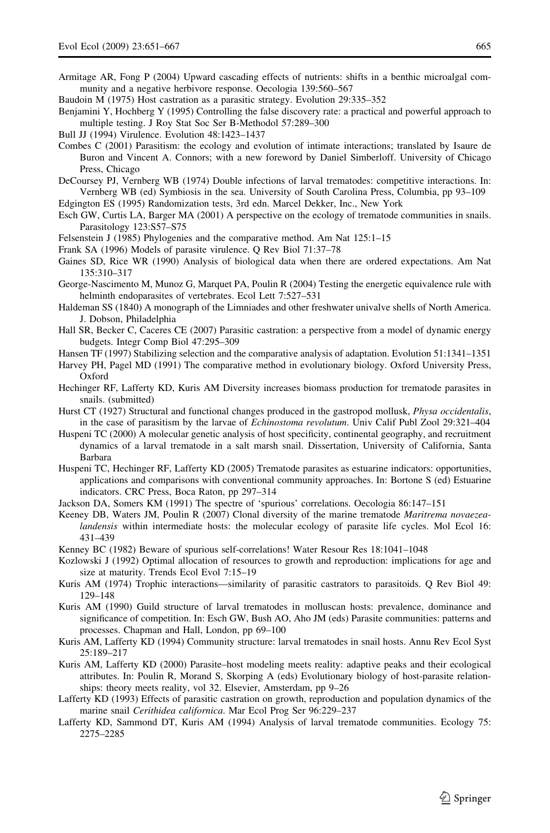- <span id="page-14-0"></span>Armitage AR, Fong P (2004) Upward cascading effects of nutrients: shifts in a benthic microalgal community and a negative herbivore response. Oecologia 139:560–567
- Baudoin M (1975) Host castration as a parasitic strategy. Evolution 29:335–352
- Benjamini Y, Hochberg Y (1995) Controlling the false discovery rate: a practical and powerful approach to multiple testing. J Roy Stat Soc Ser B-Methodol 57:289–300
- Bull JJ (1994) Virulence. Evolution 48:1423–1437
- Combes C (2001) Parasitism: the ecology and evolution of intimate interactions; translated by Isaure de Buron and Vincent A. Connors; with a new foreword by Daniel Simberloff. University of Chicago Press, Chicago
- DeCoursey PJ, Vernberg WB (1974) Double infections of larval trematodes: competitive interactions. In: Vernberg WB (ed) Symbiosis in the sea. University of South Carolina Press, Columbia, pp 93–109

Edgington ES (1995) Randomization tests, 3rd edn. Marcel Dekker, Inc., New York

- Esch GW, Curtis LA, Barger MA (2001) A perspective on the ecology of trematode communities in snails. Parasitology 123:S57–S75
- Felsenstein J (1985) Phylogenies and the comparative method. Am Nat 125:1–15
- Frank SA (1996) Models of parasite virulence. Q Rev Biol 71:37–78
- Gaines SD, Rice WR (1990) Analysis of biological data when there are ordered expectations. Am Nat 135:310–317
- George-Nascimento M, Munoz G, Marquet PA, Poulin R (2004) Testing the energetic equivalence rule with helminth endoparasites of vertebrates. Ecol Lett 7:527–531
- Haldeman SS (1840) A monograph of the Limniades and other freshwater univalve shells of North America. J. Dobson, Philadelphia
- Hall SR, Becker C, Caceres CE (2007) Parasitic castration: a perspective from a model of dynamic energy budgets. Integr Comp Biol 47:295–309
- Hansen TF (1997) Stabilizing selection and the comparative analysis of adaptation. Evolution 51:1341–1351
- Harvey PH, Pagel MD (1991) The comparative method in evolutionary biology. Oxford University Press, Oxford
- Hechinger RF, Lafferty KD, Kuris AM Diversity increases biomass production for trematode parasites in snails. (submitted)
- Hurst CT (1927) Structural and functional changes produced in the gastropod mollusk, *Physa occidentalis*, in the case of parasitism by the larvae of Echinostoma revolutum. Univ Calif Publ Zool 29:321–404
- Huspeni TC (2000) A molecular genetic analysis of host specificity, continental geography, and recruitment dynamics of a larval trematode in a salt marsh snail. Dissertation, University of California, Santa Barbara
- Huspeni TC, Hechinger RF, Lafferty KD (2005) Trematode parasites as estuarine indicators: opportunities, applications and comparisons with conventional community approaches. In: Bortone S (ed) Estuarine indicators. CRC Press, Boca Raton, pp 297–314
- Jackson DA, Somers KM (1991) The spectre of 'spurious' correlations. Oecologia 86:147–151
- Keeney DB, Waters JM, Poulin R (2007) Clonal diversity of the marine trematode Maritrema novaezealandensis within intermediate hosts: the molecular ecology of parasite life cycles. Mol Ecol 16: 431–439
- Kenney BC (1982) Beware of spurious self-correlations! Water Resour Res 18:1041–1048
- Kozlowski J (1992) Optimal allocation of resources to growth and reproduction: implications for age and size at maturity. Trends Ecol Evol 7:15–19
- Kuris AM (1974) Trophic interactions––similarity of parasitic castrators to parasitoids. Q Rev Biol 49: 129–148
- Kuris AM (1990) Guild structure of larval trematodes in molluscan hosts: prevalence, dominance and significance of competition. In: Esch GW, Bush AO, Aho JM (eds) Parasite communities: patterns and processes. Chapman and Hall, London, pp 69–100
- Kuris AM, Lafferty KD (1994) Community structure: larval trematodes in snail hosts. Annu Rev Ecol Syst 25:189–217
- Kuris AM, Lafferty KD (2000) Parasite–host modeling meets reality: adaptive peaks and their ecological attributes. In: Poulin R, Morand S, Skorping A (eds) Evolutionary biology of host-parasite relationships: theory meets reality, vol 32. Elsevier, Amsterdam, pp 9–26
- Lafferty KD (1993) Effects of parasitic castration on growth, reproduction and population dynamics of the marine snail Cerithidea californica. Mar Ecol Prog Ser 96:229–237
- Lafferty KD, Sammond DT, Kuris AM (1994) Analysis of larval trematode communities. Ecology 75: 2275–2285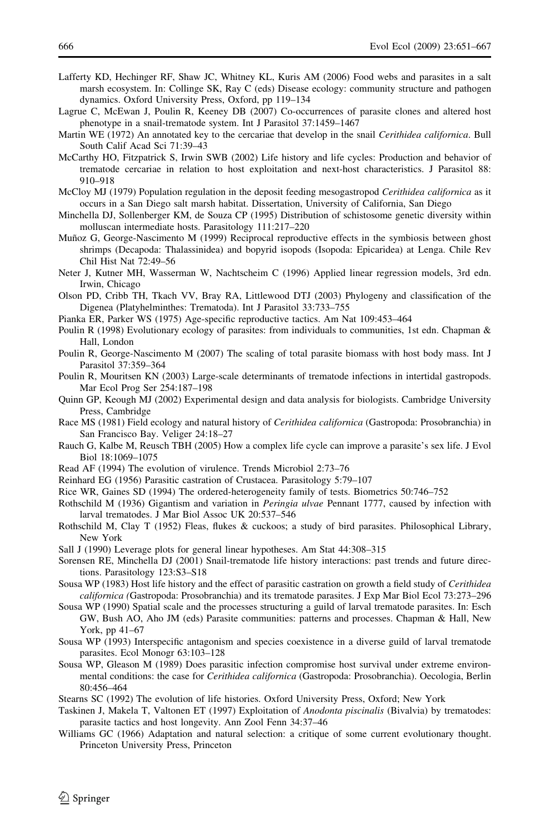- <span id="page-15-0"></span>Lafferty KD, Hechinger RF, Shaw JC, Whitney KL, Kuris AM (2006) Food webs and parasites in a salt marsh ecosystem. In: Collinge SK, Ray C (eds) Disease ecology: community structure and pathogen dynamics. Oxford University Press, Oxford, pp 119–134
- Lagrue C, McEwan J, Poulin R, Keeney DB (2007) Co-occurrences of parasite clones and altered host phenotype in a snail-trematode system. Int J Parasitol 37:1459–1467
- Martin WE (1972) An annotated key to the cercariae that develop in the snail Cerithidea californica. Bull South Calif Acad Sci 71:39–43
- McCarthy HO, Fitzpatrick S, Irwin SWB (2002) Life history and life cycles: Production and behavior of trematode cercariae in relation to host exploitation and next-host characteristics. J Parasitol 88: 910–918
- McCloy MJ (1979) Population regulation in the deposit feeding mesogastropod Cerithidea californica as it occurs in a San Diego salt marsh habitat. Dissertation, University of California, San Diego
- Minchella DJ, Sollenberger KM, de Souza CP (1995) Distribution of schistosome genetic diversity within molluscan intermediate hosts. Parasitology 111:217–220
- Muñoz G, George-Nascimento M (1999) Reciprocal reproductive effects in the symbiosis between ghost shrimps (Decapoda: Thalassinidea) and bopyrid isopods (Isopoda: Epicaridea) at Lenga. Chile Rev Chil Hist Nat 72:49–56
- Neter J, Kutner MH, Wasserman W, Nachtscheim C (1996) Applied linear regression models, 3rd edn. Irwin, Chicago
- Olson PD, Cribb TH, Tkach VV, Bray RA, Littlewood DTJ (2003) Phylogeny and classification of the Digenea (Platyhelminthes: Trematoda). Int J Parasitol 33:733–755
- Pianka ER, Parker WS (1975) Age-specific reproductive tactics. Am Nat 109:453–464
- Poulin R (1998) Evolutionary ecology of parasites: from individuals to communities, 1st edn. Chapman & Hall, London
- Poulin R, George-Nascimento M (2007) The scaling of total parasite biomass with host body mass. Int J Parasitol 37:359–364
- Poulin R, Mouritsen KN (2003) Large-scale determinants of trematode infections in intertidal gastropods. Mar Ecol Prog Ser 254:187–198
- Quinn GP, Keough MJ (2002) Experimental design and data analysis for biologists. Cambridge University Press, Cambridge
- Race MS (1981) Field ecology and natural history of Cerithidea californica (Gastropoda: Prosobranchia) in San Francisco Bay. Veliger 24:18–27
- Rauch G, Kalbe M, Reusch TBH (2005) How a complex life cycle can improve a parasite's sex life. J Evol Biol 18:1069–1075
- Read AF (1994) The evolution of virulence. Trends Microbiol 2:73–76
- Reinhard EG (1956) Parasitic castration of Crustacea. Parasitology 5:79–107
- Rice WR, Gaines SD (1994) The ordered-heterogeneity family of tests. Biometrics 50:746–752
- Rothschild M (1936) Gigantism and variation in *Peringia ulvae* Pennant 1777, caused by infection with larval trematodes. J Mar Biol Assoc UK 20:537–546
- Rothschild M, Clay T (1952) Fleas, flukes & cuckoos; a study of bird parasites. Philosophical Library, New York
- Sall J (1990) Leverage plots for general linear hypotheses. Am Stat 44:308–315
- Sorensen RE, Minchella DJ (2001) Snail-trematode life history interactions: past trends and future directions. Parasitology 123:S3–S18
- Sousa WP (1983) Host life history and the effect of parasitic castration on growth a field study of Cerithidea californica (Gastropoda: Prosobranchia) and its trematode parasites. J Exp Mar Biol Ecol 73:273–296
- Sousa WP (1990) Spatial scale and the processes structuring a guild of larval trematode parasites. In: Esch GW, Bush AO, Aho JM (eds) Parasite communities: patterns and processes. Chapman & Hall, New York, pp 41–67
- Sousa WP (1993) Interspecific antagonism and species coexistence in a diverse guild of larval trematode parasites. Ecol Monogr 63:103–128
- Sousa WP, Gleason M (1989) Does parasitic infection compromise host survival under extreme environmental conditions: the case for Cerithidea californica (Gastropoda: Prosobranchia). Oecologia, Berlin 80:456–464
- Stearns SC (1992) The evolution of life histories. Oxford University Press, Oxford; New York
- Taskinen J, Makela T, Valtonen ET (1997) Exploitation of Anodonta piscinalis (Bivalvia) by trematodes: parasite tactics and host longevity. Ann Zool Fenn 34:37–46
- Williams GC (1966) Adaptation and natural selection: a critique of some current evolutionary thought. Princeton University Press, Princeton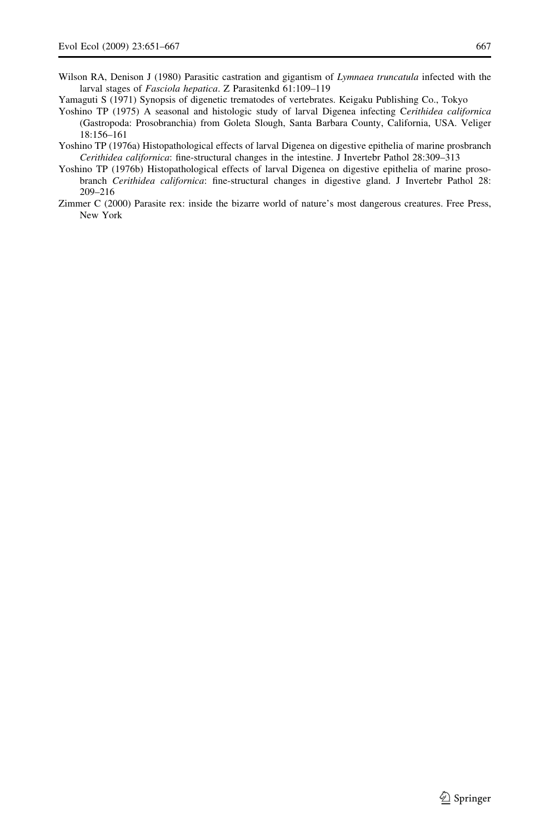<span id="page-16-0"></span>Wilson RA, Denison J (1980) Parasitic castration and gigantism of Lymnaea truncatula infected with the larval stages of Fasciola hepatica. Z Parasitenkd 61:109–119

Yamaguti S (1971) Synopsis of digenetic trematodes of vertebrates. Keigaku Publishing Co., Tokyo

- Yoshino TP (1975) A seasonal and histologic study of larval Digenea infecting Cerithidea californica (Gastropoda: Prosobranchia) from Goleta Slough, Santa Barbara County, California, USA. Veliger 18:156–161
- Yoshino TP (1976a) Histopathological effects of larval Digenea on digestive epithelia of marine prosbranch Cerithidea californica: fine-structural changes in the intestine. J Invertebr Pathol 28:309–313
- Yoshino TP (1976b) Histopathological effects of larval Digenea on digestive epithelia of marine prosobranch Cerithidea californica: fine-structural changes in digestive gland. J Invertebr Pathol 28: 209–216
- Zimmer C (2000) Parasite rex: inside the bizarre world of nature's most dangerous creatures. Free Press, New York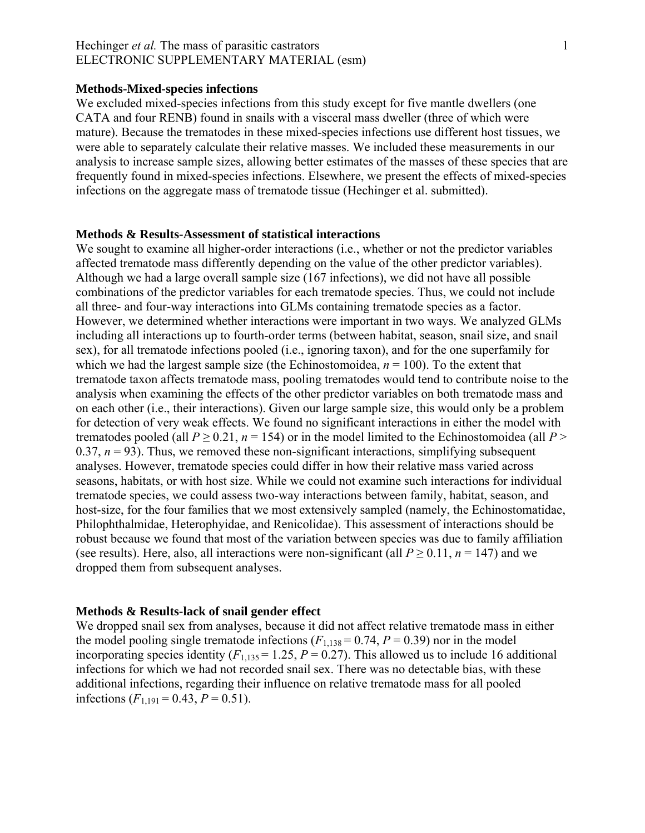## Hechinger *et al.* The mass of parasitic castrators ELECTRONIC SUPPLEMENTARY MATERIAL (esm)

### **Methods-Mixed-species infections**

We excluded mixed-species infections from this study except for five mantle dwellers (one CATA and four RENB) found in snails with a visceral mass dweller (three of which were mature). Because the trematodes in these mixed-species infections use different host tissues, we were able to separately calculate their relative masses. We included these measurements in our analysis to increase sample sizes, allowing better estimates of the masses of these species that are frequently found in mixed-species infections. Elsewhere, we present the effects of mixed-species infections on the aggregate mass of trematode tissue (Hechinger et al. submitted).

### **Methods & Results-Assessment of statistical interactions**

We sought to examine all higher-order interactions (i.e., whether or not the predictor variables affected trematode mass differently depending on the value of the other predictor variables). Although we had a large overall sample size (167 infections), we did not have all possible combinations of the predictor variables for each trematode species. Thus, we could not include all three- and four-way interactions into GLMs containing trematode species as a factor. However, we determined whether interactions were important in two ways. We analyzed GLMs including all interactions up to fourth-order terms (between habitat, season, snail size, and snail sex), for all trematode infections pooled (i.e., ignoring taxon), and for the one superfamily for which we had the largest sample size (the Echinostomoidea,  $n = 100$ ). To the extent that trematode taxon affects trematode mass, pooling trematodes would tend to contribute noise to the analysis when examining the effects of the other predictor variables on both trematode mass and on each other (i.e., their interactions). Given our large sample size, this would only be a problem for detection of very weak effects. We found no significant interactions in either the model with trematodes pooled (all  $P \ge 0.21$ ,  $n = 154$ ) or in the model limited to the Echinostomoidea (all  $P >$ 0.37,  $n = 93$ ). Thus, we removed these non-significant interactions, simplifying subsequent analyses. However, trematode species could differ in how their relative mass varied across seasons, habitats, or with host size. While we could not examine such interactions for individual trematode species, we could assess two-way interactions between family, habitat, season, and host-size, for the four families that we most extensively sampled (namely, the Echinostomatidae, Philophthalmidae, Heterophyidae, and Renicolidae). This assessment of interactions should be robust because we found that most of the variation between species was due to family affiliation (see results). Here, also, all interactions were non-significant (all  $P \ge 0.11$ ,  $n = 147$ ) and we dropped them from subsequent analyses.

### **Methods & Results-lack of snail gender effect**

We dropped snail sex from analyses, because it did not affect relative trematode mass in either the model pooling single trematode infections  $(F_{1,138} = 0.74, P = 0.39)$  nor in the model incorporating species identity  $(F_{1,135} = 1.25, P = 0.27)$ . This allowed us to include 16 additional infections for which we had not recorded snail sex. There was no detectable bias, with these additional infections, regarding their influence on relative trematode mass for all pooled infections  $(F_{1,191} = 0.43, P = 0.51)$ .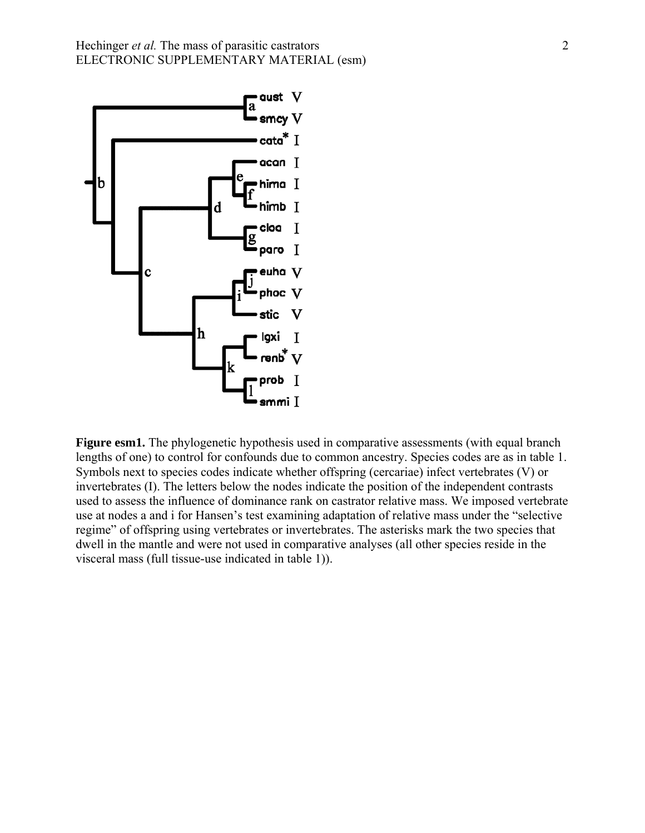

**Figure esm1.** The phylogenetic hypothesis used in comparative assessments (with equal branch lengths of one) to control for confounds due to common ancestry. Species codes are as in table 1. Symbols next to species codes indicate whether offspring (cercariae) infect vertebrates (V) or invertebrates (I). The letters below the nodes indicate the position of the independent contrasts used to assess the influence of dominance rank on castrator relative mass. We imposed vertebrate use at nodes a and i for Hansen's test examining adaptation of relative mass under the "selective regime" of offspring using vertebrates or invertebrates. The asterisks mark the two species that dwell in the mantle and were not used in comparative analyses (all other species reside in the visceral mass (full tissue-use indicated in table 1)).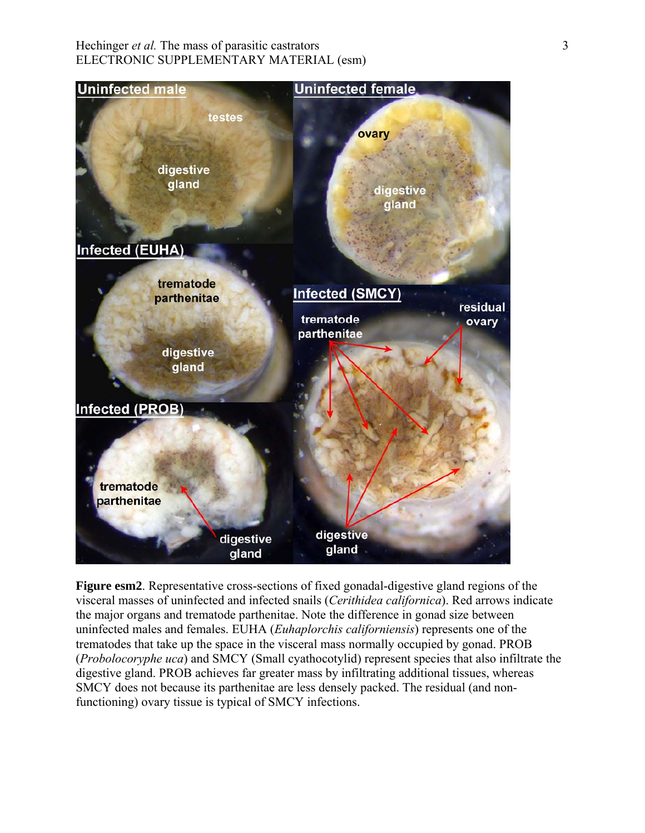# Hechinger *et al.* The mass of parasitic castrators ELECTRONIC SUPPLEMENTARY MATERIAL (esm)



**Figure esm2**. Representative cross-sections of fixed gonadal-digestive gland regions of the visceral masses of uninfected and infected snails (*Cerithidea californica*). Red arrows indicate the major organs and trematode parthenitae. Note the difference in gonad size between uninfected males and females. EUHA (*Euhaplorchis californiensis*) represents one of the trematodes that take up the space in the visceral mass normally occupied by gonad. PROB (*Probolocoryphe uca*) and SMCY (Small cyathocotylid) represent species that also infiltrate the digestive gland. PROB achieves far greater mass by infiltrating additional tissues, whereas SMCY does not because its parthenitae are less densely packed. The residual (and nonfunctioning) ovary tissue is typical of SMCY infections.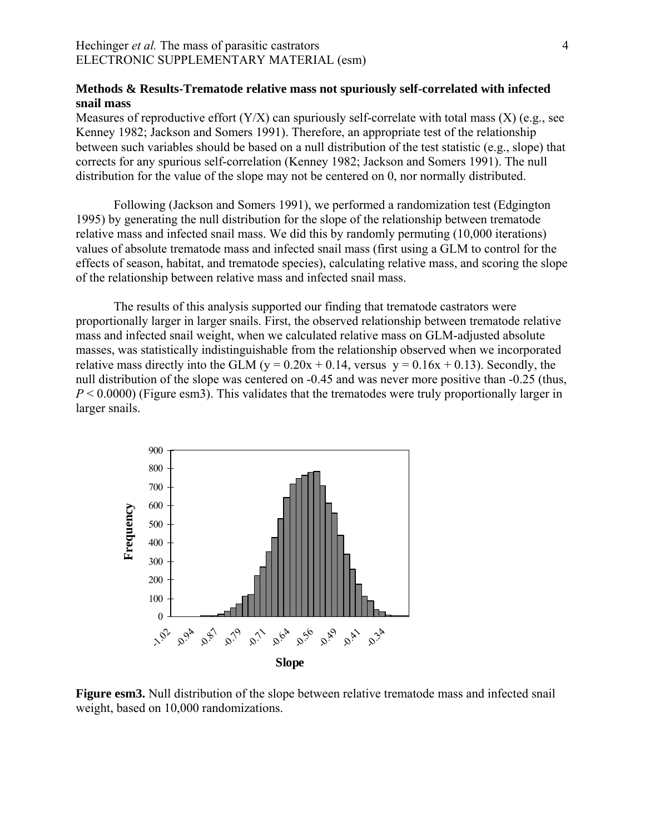## **Methods & Results-Trematode relative mass not spuriously self-correlated with infected snail mass**

Measures of reproductive effort  $(Y/X)$  can spuriously self-correlate with total mass  $(X)$  (e.g., see Kenney 1982; Jackson and Somers 1991). Therefore, an appropriate test of the relationship between such variables should be based on a null distribution of the test statistic (e.g., slope) that corrects for any spurious self-correlation (Kenney 1982; Jackson and Somers 1991). The null distribution for the value of the slope may not be centered on 0, nor normally distributed.

Following (Jackson and Somers 1991), we performed a randomization test (Edgington 1995) by generating the null distribution for the slope of the relationship between trematode relative mass and infected snail mass. We did this by randomly permuting (10,000 iterations) values of absolute trematode mass and infected snail mass (first using a GLM to control for the effects of season, habitat, and trematode species), calculating relative mass, and scoring the slope of the relationship between relative mass and infected snail mass.

The results of this analysis supported our finding that trematode castrators were proportionally larger in larger snails. First, the observed relationship between trematode relative mass and infected snail weight, when we calculated relative mass on GLM-adjusted absolute masses, was statistically indistinguishable from the relationship observed when we incorporated relative mass directly into the GLM ( $y = 0.20x + 0.14$ , versus  $y = 0.16x + 0.13$ ). Secondly, the null distribution of the slope was centered on -0.45 and was never more positive than -0.25 (thus, *P* < 0.0000) (Figure esm3). This validates that the trematodes were truly proportionally larger in larger snails.



**Figure esm3.** Null distribution of the slope between relative trematode mass and infected snail weight, based on 10,000 randomizations.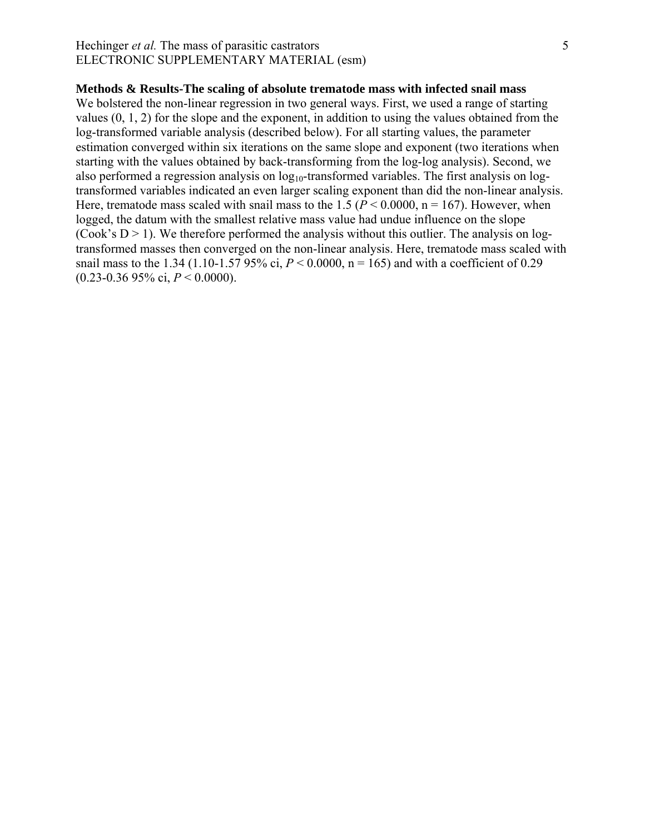### **Methods & Results-The scaling of absolute trematode mass with infected snail mass**

We bolstered the non-linear regression in two general ways. First, we used a range of starting values (0, 1, 2) for the slope and the exponent, in addition to using the values obtained from the log-transformed variable analysis (described below). For all starting values, the parameter estimation converged within six iterations on the same slope and exponent (two iterations when starting with the values obtained by back-transforming from the log-log analysis). Second, we also performed a regression analysis on  $log_{10}$ -transformed variables. The first analysis on  $log$ transformed variables indicated an even larger scaling exponent than did the non-linear analysis. Here, trematode mass scaled with snail mass to the 1.5 ( $P < 0.0000$ , n = 167). However, when logged, the datum with the smallest relative mass value had undue influence on the slope (Cook's  $D > 1$ ). We therefore performed the analysis without this outlier. The analysis on logtransformed masses then converged on the non-linear analysis. Here, trematode mass scaled with snail mass to the 1.34 (1.10-1.57 95% ci,  $P < 0.0000$ , n = 165) and with a coefficient of 0.29 (0.23-0.36 95% ci, *P* < 0.0000).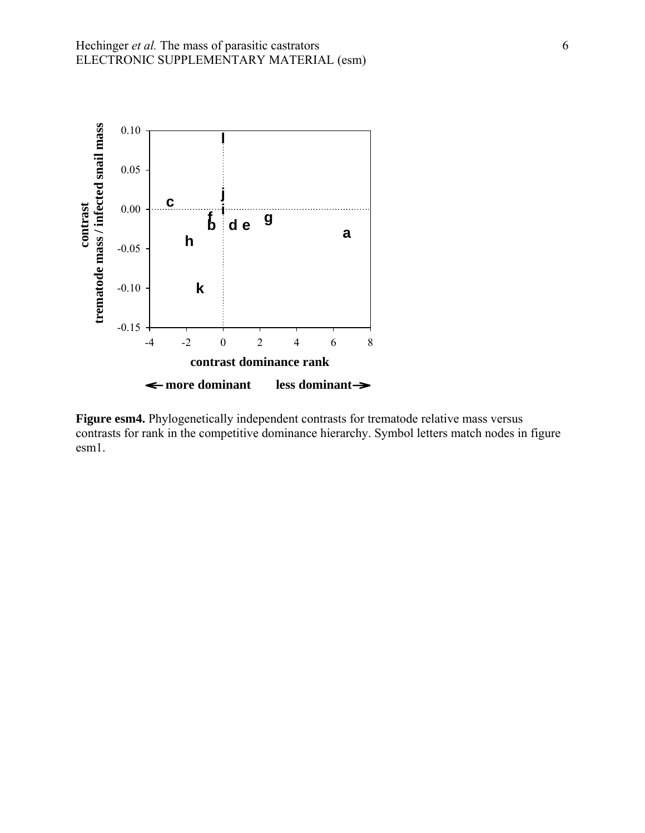

**Figure esm4.** Phylogenetically independent contrasts for trematode relative mass versus contrasts for rank in the competitive dominance hierarchy. Symbol letters match nodes in figure esm1.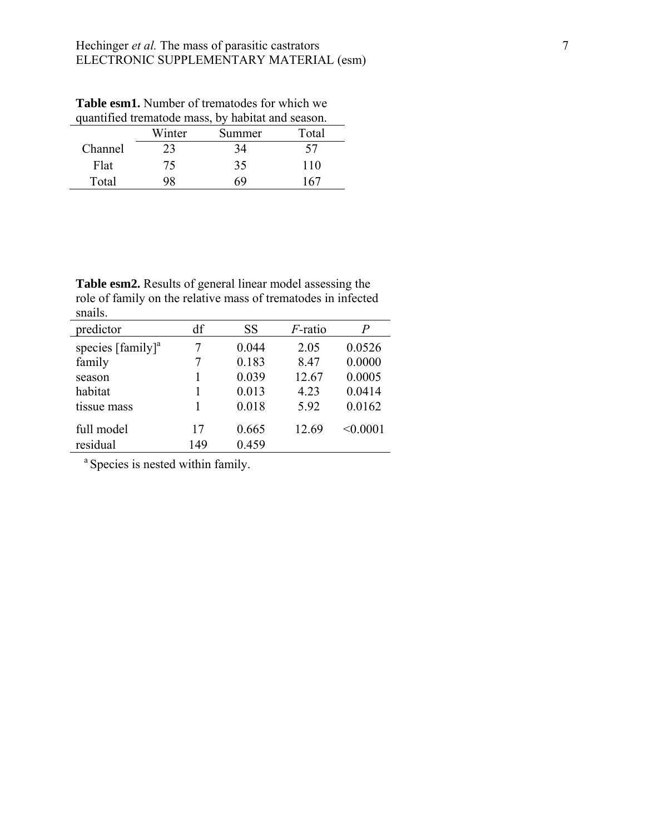| quantified trematode mass, by habitat and season. |    |    |     |  |  |  |
|---------------------------------------------------|----|----|-----|--|--|--|
| Winter<br>Total<br>Summer                         |    |    |     |  |  |  |
| Channel                                           | 23 | 34 | 57  |  |  |  |
| Flat                                              | 75 | 35 | 110 |  |  |  |
| Total                                             | 98 | 69 | 67  |  |  |  |

**Table esm1.** Number of trematodes for which we tified trematode mass, by habitat and s

**Table esm2.** Results of general linear model assessing the role of family on the relative mass of trematodes in infected snails.

| predictor                   | df  | <b>SS</b> | $F$ -ratio | P        |
|-----------------------------|-----|-----------|------------|----------|
| species $[\text{family}]^a$ | 7   | 0.044     | 2.05       | 0.0526   |
| family                      | 7   | 0.183     | 8.47       | 0.0000   |
| season                      |     | 0.039     | 12.67      | 0.0005   |
| habitat                     | 1   | 0.013     | 4.23       | 0.0414   |
| tissue mass                 | 1   | 0.018     | 5.92       | 0.0162   |
| full model                  | 17  | 0.665     | 12.69      | < 0.0001 |
| residual                    | 149 | 0.459     |            |          |

<sup>a</sup> Species is nested within family.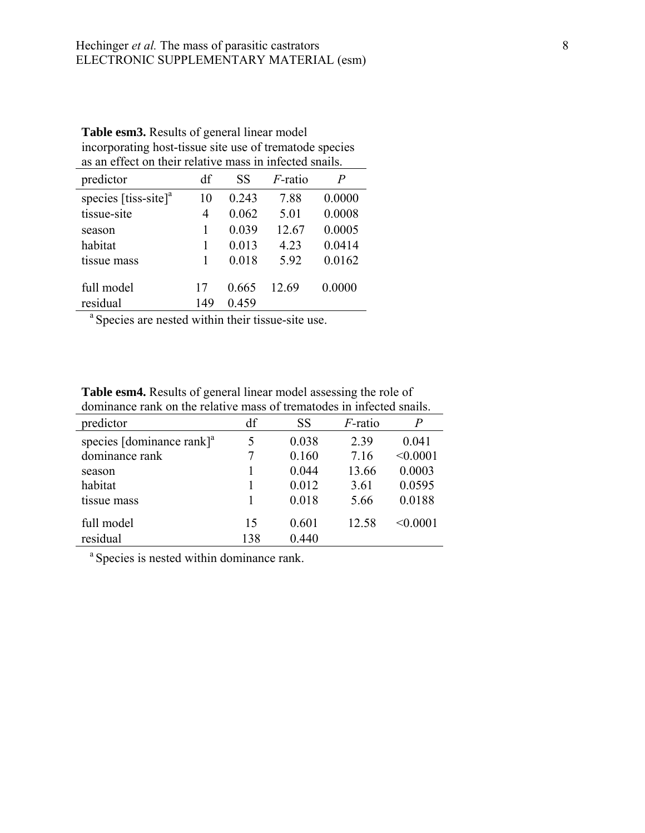| $\alpha$                         |     |       |                 |                  |
|----------------------------------|-----|-------|-----------------|------------------|
| predictor                        | df  | SS    | <i>F</i> -ratio | $\boldsymbol{P}$ |
| species [tiss-site] <sup>a</sup> | 10  | 0.243 | 7.88            | 0.0000           |
| tissue-site                      | 4   | 0.062 | 5.01            | 0.0008           |
| season                           |     | 0.039 | 12.67           | 0.0005           |
| habitat                          | 1   | 0.013 | 4.23            | 0.0414           |
| tissue mass                      |     | 0.018 | 5.92            | 0.0162           |
|                                  |     |       |                 |                  |
| full model                       | 17  | 0.665 | 12.69           | 0.0000           |
| residual                         | 149 | 0.459 |                 |                  |
| $\Omega$ . The set of $\Omega$   |     |       |                 |                  |

**Table esm3.** Results of general linear model incorporating host-tissue site use of trematode species as an effect on their relative mass in infected snails.

a Species are nested within their tissue-site use.

**Table esm4.** Results of general linear model assessing the role of dominance rank on the relative mass of trematodes in infected snails.

| predictor                           | df  | SS    | <i>F</i> -ratio | P        |
|-------------------------------------|-----|-------|-----------------|----------|
| species [dominance rank] $^{\circ}$ |     | 0.038 | 2.39            | 0.041    |
| dominance rank                      |     | 0.160 | 7.16            | < 0.0001 |
| season                              |     | 0.044 | 13.66           | 0.0003   |
| habitat                             |     | 0.012 | 3.61            | 0.0595   |
| tissue mass                         |     | 0.018 | 5.66            | 0.0188   |
| full model                          | 15  | 0.601 | 12.58           | < 0.0001 |
| residual                            | 138 | 0.440 |                 |          |

a Species is nested within dominance rank.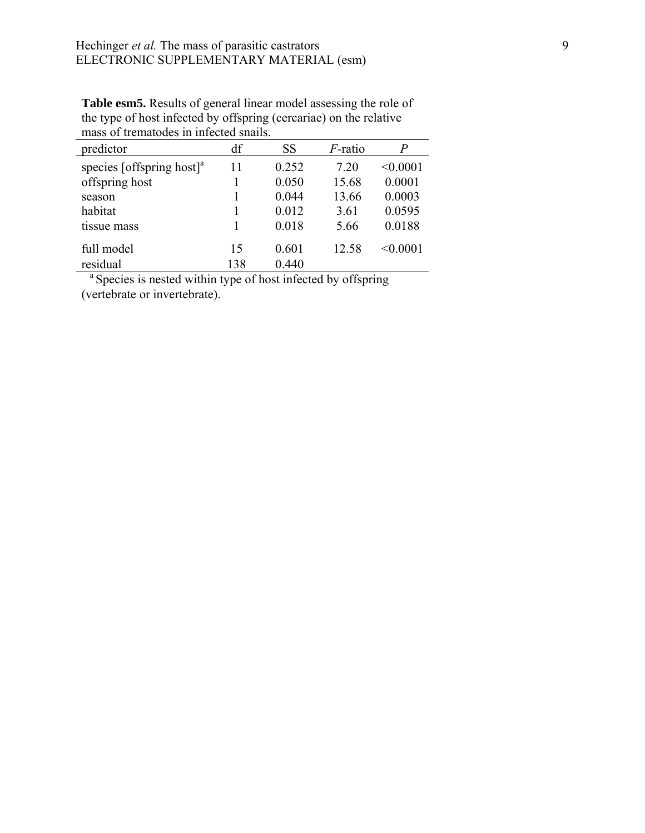| mass of trematodes in infected shalls. |     |       |                 |          |  |
|----------------------------------------|-----|-------|-----------------|----------|--|
| predictor                              | df  | SS    | <i>F</i> -ratio | P        |  |
| species [offspring host] <sup>a</sup>  | 11  | 0.252 | 7 20            | < 0.0001 |  |
| offspring host                         |     | 0.050 | 15.68           | 0.0001   |  |
| season                                 |     | 0.044 | 13.66           | 0.0003   |  |
| habitat                                |     | 0.012 | 3.61            | 0.0595   |  |
| tissue mass                            |     | 0.018 | 5.66            | 0.0188   |  |
| full model                             | 15  | 0.601 | 12.58           | < 0.0001 |  |
| residual                               | 138 | 0.440 |                 |          |  |

**Table esm5.** Results of general linear model assessing the role of the type of host infected by offspring (cercariae) on the relative mass of trematodes in infected snails.

<sup>a</sup> Species is nested within type of host infected by offspring (vertebrate or invertebrate).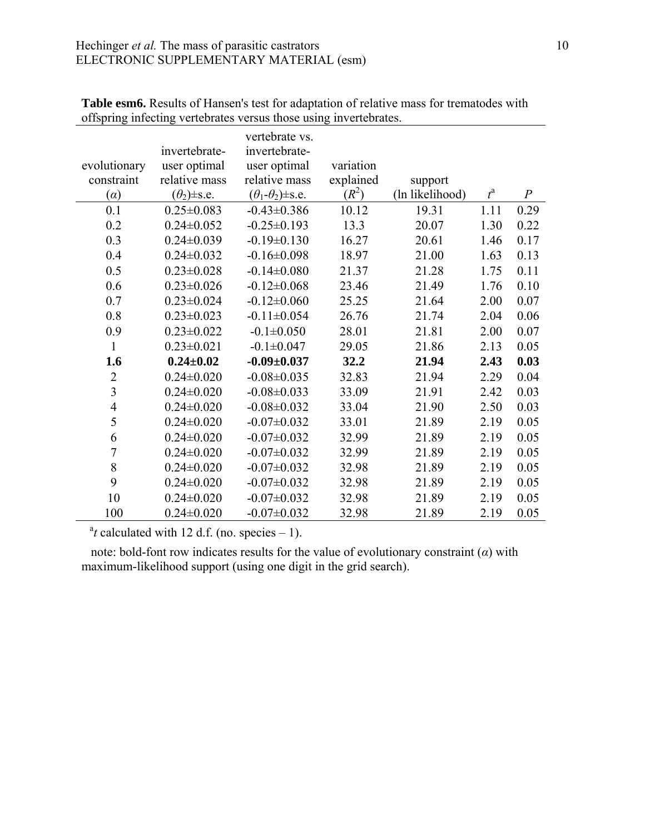|                          | invertebrate-         | vertebrate vs.<br>invertebrate- |           |                 |                  |                  |
|--------------------------|-----------------------|---------------------------------|-----------|-----------------|------------------|------------------|
| evolutionary             | user optimal          | user optimal                    | variation |                 |                  |                  |
| constraint               | relative mass         | relative mass                   | explained | support         |                  |                  |
| $(\alpha)$               | $(\theta_2) \pm s.e.$ | $(\theta_1-\theta_2)\pm$ s.e.   | $(R^2)$   | (ln likelihood) | $t^{\mathrm{a}}$ | $\boldsymbol{P}$ |
| 0.1                      | $0.25 \pm 0.083$      | $-0.43 \pm 0.386$               | 10.12     | 19.31           | 1.11             | 0.29             |
| 0.2                      | $0.24 \pm 0.052$      | $-0.25 \pm 0.193$               | 13.3      | 20.07           | 1.30             | 0.22             |
| 0.3                      | $0.24 \pm 0.039$      | $-0.19 \pm 0.130$               | 16.27     | 20.61           | 1.46             | 0.17             |
| 0.4                      | $0.24 \pm 0.032$      | $-0.16 \pm 0.098$               | 18.97     | 21.00           | 1.63             | 0.13             |
| 0.5                      | $0.23 \pm 0.028$      | $-0.14 \pm 0.080$               | 21.37     | 21.28           | 1.75             | 0.11             |
| 0.6                      | $0.23 \pm 0.026$      | $-0.12 \pm 0.068$               | 23.46     | 21.49           | 1.76             | 0.10             |
| 0.7                      | $0.23 \pm 0.024$      | $-0.12 \pm 0.060$               | 25.25     | 21.64           | 2.00             | 0.07             |
| 0.8                      | $0.23 \pm 0.023$      | $-0.11 \pm 0.054$               | 26.76     | 21.74           | 2.04             | 0.06             |
| 0.9                      | $0.23 \pm 0.022$      | $-0.1 \pm 0.050$                | 28.01     | 21.81           | 2.00             | 0.07             |
| $\mathbf{1}$             | $0.23 \pm 0.021$      | $-0.1 \pm 0.047$                | 29.05     | 21.86           | 2.13             | 0.05             |
| 1.6                      | $0.24 \pm 0.02$       | $-0.09 \pm 0.037$               | 32.2      | 21.94           | 2.43             | 0.03             |
| $\overline{2}$           | $0.24 \pm 0.020$      | $-0.08 \pm 0.035$               | 32.83     | 21.94           | 2.29             | 0.04             |
| $\overline{\mathbf{3}}$  | $0.24 \pm 0.020$      | $-0.08 \pm 0.033$               | 33.09     | 21.91           | 2.42             | 0.03             |
| $\overline{\mathcal{A}}$ | $0.24 \pm 0.020$      | $-0.08 \pm 0.032$               | 33.04     | 21.90           | 2.50             | 0.03             |
| 5                        | $0.24 \pm 0.020$      | $-0.07 \pm 0.032$               | 33.01     | 21.89           | 2.19             | 0.05             |
| 6                        | $0.24 \pm 0.020$      | $-0.07 \pm 0.032$               | 32.99     | 21.89           | 2.19             | 0.05             |
| $\overline{7}$           | $0.24 \pm 0.020$      | $-0.07 \pm 0.032$               | 32.99     | 21.89           | 2.19             | 0.05             |
| 8                        | $0.24 \pm 0.020$      | $-0.07 \pm 0.032$               | 32.98     | 21.89           | 2.19             | 0.05             |
| 9                        | $0.24 \pm 0.020$      | $-0.07 \pm 0.032$               | 32.98     | 21.89           | 2.19             | 0.05             |
| 10                       | $0.24 \pm 0.020$      | $-0.07 \pm 0.032$               | 32.98     | 21.89           | 2.19             | 0.05             |
| 100                      | $0.24 \pm 0.020$      | $-0.07 \pm 0.032$               | 32.98     | 21.89           | 2.19             | 0.05             |

| Table esm6. Results of Hansen's test for adaptation of relative mass for trematodes with |
|------------------------------------------------------------------------------------------|
| offspring infecting vertebrates versus those using invertebrates.                        |

 $a<sup>a</sup>t$  calculated with 12 d.f. (no. species – 1).

 note: bold-font row indicates results for the value of evolutionary constraint (*α*) with maximum-likelihood support (using one digit in the grid search).